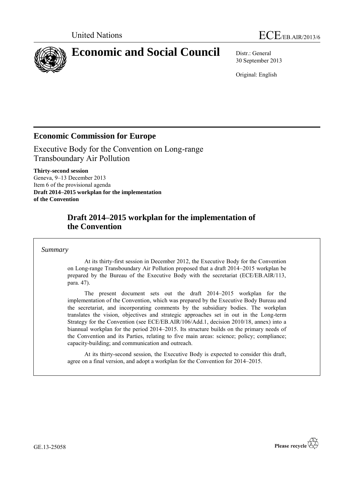

30 September 2013

Original: English

# **Economic Commission for Europe**

Executive Body for the Convention on Long-range Transboundary Air Pollution

**Thirty-second session** Geneva, 9–13 December 2013 Item 6 of the provisional agenda **Draft 2014–2015 workplan for the implementation of the Convention**

# **Draft 2014–2015 workplan for the implementation of the Convention**

### *Summary*

At its thirty-first session in December 2012, the Executive Body for the Convention on Long-range Transboundary Air Pollution proposed that a draft 2014–2015 workplan be prepared by the Bureau of the Executive Body with the secretariat (ECE/EB.AIR/113, para. 47).

The present document sets out the draft 2014–2015 workplan for the implementation of the Convention, which was prepared by the Executive Body Bureau and the secretariat, and incorporating comments by the subsidiary bodies. The workplan translates the vision, objectives and strategic approaches set in out in the Long-term Strategy for the Convention (see ECE/EB.AIR/106/Add.1, decision 2010/18, annex) into a biannual workplan for the period 2014–2015. Its structure builds on the primary needs of the Convention and its Parties, relating to five main areas: science; policy; compliance; capacity-building; and communication and outreach.

At its thirty-second session, the Executive Body is expected to consider this draft, agree on a final version, and adopt a workplan for the Convention for 2014–2015.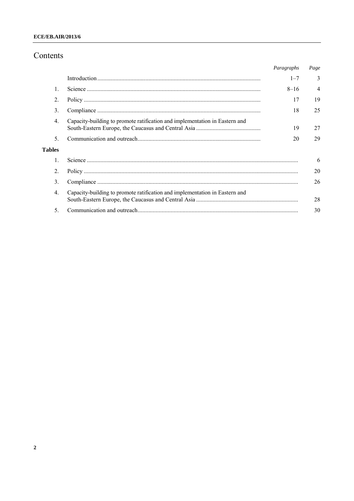# Contents

|                  |                                                                             | Paragraphs | Page           |
|------------------|-----------------------------------------------------------------------------|------------|----------------|
|                  |                                                                             | $1 - 7$    | 3              |
|                  |                                                                             | $8 - 16$   | $\overline{4}$ |
| 2.               |                                                                             | 17         | 19             |
| 3.               |                                                                             | 18         | 25             |
| 4.               | Capacity-building to promote ratification and implementation in Eastern and | 19         | 27             |
| 5                |                                                                             | 20         | 29             |
| <b>Tables</b>    |                                                                             |            |                |
| $\mathbf{1}$     |                                                                             |            | 6              |
| $\overline{2}$ . |                                                                             |            | 20             |
| 3.               |                                                                             |            | 26             |
| 4.               | Capacity-building to promote ratification and implementation in Eastern and |            | 28             |
| 5.               |                                                                             |            | 30             |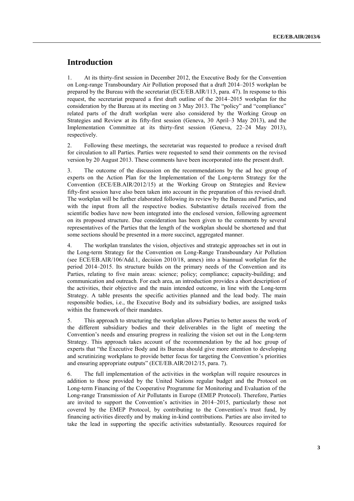## **Introduction**

1. At its thirty-first session in December 2012, the Executive Body for the Convention on Long-range Transboundary Air Pollution proposed that a draft 2014–2015 workplan be prepared by the Bureau with the secretariat (ECE/EB.AIR/113, para. 47). In response to this request, the secretariat prepared a first draft outline of the 2014–2015 workplan for the consideration by the Bureau at its meeting on 3 May 2013. The "policy" and "compliance" related parts of the draft workplan were also considered by the Working Group on Strategies and Review at its fifty-first session (Geneva, 30 April–3 May 2013), and the Implementation Committee at its thirty-first session (Geneva, 22–24 May 2013), respectively.

2. Following these meetings, the secretariat was requested to produce a revised draft for circulation to all Parties. Parties were requested to send their comments on the revised version by 20 August 2013. These comments have been incorporated into the present draft.

3. The outcome of the discussion on the recommendations by the ad hoc group of experts on the Action Plan for the Implementation of the Long-term Strategy for the Convention (ECE/EB.AIR/2012/15) at the Working Group on Strategies and Review fifty-first session have also been taken into account in the preparation of this revised draft. The workplan will be further elaborated following its review by the Bureau and Parties, and with the input from all the respective bodies. Substantive details received from the scientific bodies have now been integrated into the enclosed version, following agreement on its proposed structure. Due consideration has been given to the comments by several representatives of the Parties that the length of the workplan should be shortened and that some sections should be presented in a more succinct, aggregated manner.

4. The workplan translates the vision, objectives and strategic approaches set in out in the Long-term Strategy for the Convention on Long-Range Transboundary Air Pollution (see ECE/EB.AIR/106/Add.1, decision 2010/18, annex) into a biannual workplan for the period 2014–2015. Its structure builds on the primary needs of the Convention and its Parties, relating to five main areas: science; policy; compliance; capacity-building; and communication and outreach. For each area, an introduction provides a short description of the activities, their objective and the main intended outcome, in line with the Long-term Strategy. A table presents the specific activities planned and the lead body. The main responsible bodies, i.e., the Executive Body and its subsidiary bodies, are assigned tasks within the framework of their mandates.

5. This approach to structuring the workplan allows Parties to better assess the work of the different subsidiary bodies and their deliverables in the light of meeting the Convention's needs and ensuring progress in realizing the vision set out in the Long-term Strategy. This approach takes account of the recommendation by the ad hoc group of experts that "the Executive Body and its Bureau should give more attention to developing and scrutinizing workplans to provide better focus for targeting the Convention's priorities and ensuring appropriate outputs" (ECE/EB.AIR/2012/15, para. 7).

6. The full implementation of the activities in the workplan will require resources in addition to those provided by the United Nations regular budget and the Protocol on Long-term Financing of the Cooperative Programme for Monitoring and Evaluation of the Long-range Transmission of Air Pollutants in Europe (EMEP Protocol). Therefore, Parties are invited to support the Convention's activities in 2014–2015, particularly those not covered by the EMEP Protocol, by contributing to the Convention's trust fund, by financing activities directly and by making in-kind contributions. Parties are also invited to take the lead in supporting the specific activities substantially. Resources required for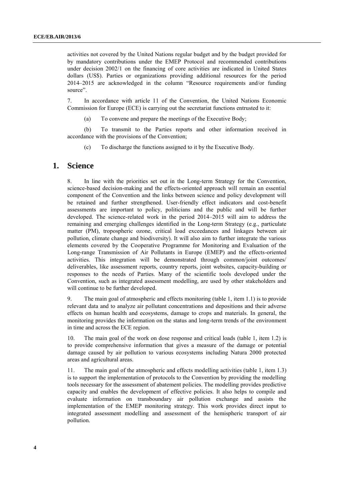activities not covered by the United Nations regular budget and by the budget provided for by mandatory contributions under the EMEP Protocol and recommended contributions under decision 2002/1 on the financing of core activities are indicated in United States dollars (US\$). Parties or organizations providing additional resources for the period 2014–2015 are acknowledged in the column "Resource requirements and/or funding source".

7. In accordance with article 11 of the Convention, the United Nations Economic Commission for Europe (ECE) is carrying out the secretariat functions entrusted to it:

(a) To convene and prepare the meetings of the Executive Body;

(b) To transmit to the Parties reports and other information received in accordance with the provisions of the Convention;

(c) To discharge the functions assigned to it by the Executive Body.

## **1. Science**

8. In line with the priorities set out in the Long-term Strategy for the Convention, science-based decision-making and the effects-oriented approach will remain an essential component of the Convention and the links between science and policy development will be retained and further strengthened. User-friendly effect indicators and cost-benefit assessments are important to policy, politicians and the public and will be further developed. The science-related work in the period 2014–2015 will aim to address the remaining and emerging challenges identified in the Long-term Strategy (e.g., particulate matter (PM), tropospheric ozone, critical load exceedances and linkages between air pollution, climate change and biodiversity). It will also aim to further integrate the various elements covered by the Cooperative Programme for Monitoring and Evaluation of the Long-range Transmission of Air Pollutants in Europe (EMEP) and the effects-oriented activities. This integration will be demonstrated through common/joint outcomes/ deliverables, like assessment reports, country reports, joint websites, capacity-building or responses to the needs of Parties. Many of the scientific tools developed under the Convention, such as integrated assessment modelling, are used by other stakeholders and will continue to be further developed.

9. The main goal of atmospheric and effects monitoring (table 1, item 1.1) is to provide relevant data and to analyze air pollutant concentrations and depositions and their adverse effects on human health and ecosystems, damage to crops and materials. In general, the monitoring provides the information on the status and long-term trends of the environment in time and across the ECE region.

10. The main goal of the work on dose response and critical loads (table 1, item 1.2) is to provide comprehensive information that gives a measure of the damage or potential damage caused by air pollution to various ecosystems including Natura 2000 protected areas and agricultural areas.

11. The main goal of the atmospheric and effects modelling activities (table 1, item 1.3) is to support the implementation of protocols to the Convention by providing the modelling tools necessary for the assessment of abatement policies. The modelling provides predictive capacity and enables the development of effective policies. It also helps to compile and evaluate information on transboundary air pollution exchange and assists the implementation of the EMEP monitoring strategy. This work provides direct input to integrated assessment modelling and assessment of the hemispheric transport of air pollution.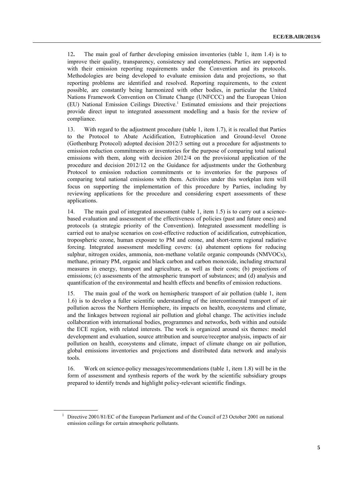12**.** The main goal of further developing emission inventories (table 1, item 1.4) is to improve their quality, transparency, consistency and completeness. Parties are supported with their emission reporting requirements under the Convention and its protocols. Methodologies are being developed to evaluate emission data and projections, so that reporting problems are identified and resolved. Reporting requirements, to the extent possible, are constantly being harmonized with other bodies, in particular the United Nations Framework Convention on Climate Change (UNFCCC) and the European Union (EU) National Emission Ceilings Directive.<sup>1</sup> Estimated emissions and their projections provide direct input to integrated assessment modelling and a basis for the review of compliance.

13. With regard to the adjustment procedure (table 1, item 1.7), it is recalled that Parties to the Protocol to Abate Acidification, Eutrophication and Ground-level Ozone (Gothenburg Protocol) adopted decision 2012/3 setting out a procedure for adjustments to emission reduction commitments or inventories for the purpose of comparing total national emissions with them, along with decision 2012/4 on the provisional application of the procedure and decision 2012/12 on the Guidance for adjustments under the Gothenburg Protocol to emission reduction commitments or to inventories for the purposes of comparing total national emissions with them. Activities under this workplan item will focus on supporting the implementation of this procedure by Parties, including by reviewing applications for the procedure and considering expert assessments of these applications.

14. The main goal of integrated assessment (table 1, item 1.5) is to carry out a sciencebased evaluation and assessment of the effectiveness of policies (past and future ones) and protocols (a strategic priority of the Convention). Integrated assessment modelling is carried out to analyse scenarios on cost-effective reduction of acidification, eutrophication, tropospheric ozone, human exposure to PM and ozone, and short-term regional radiative forcing. Integrated assessment modelling covers: (a) abatement options for reducing sulphur, nitrogen oxides, ammonia, non-methane volatile organic compounds (NMVOCs), methane, primary PM, organic and black carbon and carbon monoxide, including structural measures in energy, transport and agriculture, as well as their costs; (b) projections of emissions; (c) assessments of the atmospheric transport of substances; and (d) analysis and quantification of the environmental and health effects and benefits of emission reductions.

15. The main goal of the work on hemispheric transport of air pollution (table 1, item 1.6) is to develop a fuller scientific understanding of the intercontinental transport of air pollution across the Northern Hemisphere, its impacts on health, ecosystems and climate, and the linkages between regional air pollution and global change. The activities include collaboration with international bodies, programmes and networks, both within and outside the ECE region, with related interests. The work is organized around six themes: model development and evaluation, source attribution and source/receptor analysis, impacts of air pollution on health, ecosystems and climate, impact of climate change on air pollution, global emissions inventories and projections and distributed data network and analysis tools.

16. Work on science-policy messages/recommendations (table 1, item 1.8) will be in the form of assessment and synthesis reports of the work by the scientific subsidiary groups prepared to identify trends and highlight policy-relevant scientific findings.

<sup>&</sup>lt;sup>1</sup> Directive 2001/81/EC of the European Parliament and of the Council of 23 October 2001 on national emission ceilings for certain atmospheric pollutants.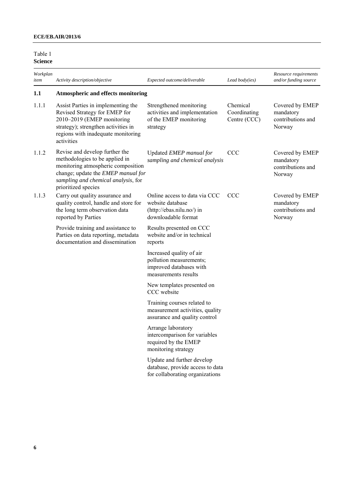#### Table 1 **Science**

| Workplan<br>item | Activity description/objective                                                                                                                                                                             | Expected outcome/deliverable                                                                           | Lead body(ies)                           | Resource requirements<br>and/or funding source              |
|------------------|------------------------------------------------------------------------------------------------------------------------------------------------------------------------------------------------------------|--------------------------------------------------------------------------------------------------------|------------------------------------------|-------------------------------------------------------------|
| 1.1              | <b>Atmospheric and effects monitoring</b>                                                                                                                                                                  |                                                                                                        |                                          |                                                             |
| 1.1.1            | Assist Parties in implementing the<br>Revised Strategy for EMEP for<br>2010-2019 (EMEP monitoring<br>strategy); strengthen activities in<br>regions with inadequate monitoring<br>activities               | Strengthened monitoring<br>activities and implementation<br>of the EMEP monitoring<br>strategy         | Chemical<br>Coordinating<br>Centre (CCC) | Covered by EMEP<br>mandatory<br>contributions and<br>Norway |
| 1.1.2            | Revise and develop further the<br>methodologies to be applied in<br>monitoring atmospheric composition<br>change; update the EMEP manual for<br>sampling and chemical analysis, for<br>prioritized species | Updated EMEP manual for<br>sampling and chemical analysis                                              | <b>CCC</b>                               | Covered by EMEP<br>mandatory<br>contributions and<br>Norway |
| 1.1.3            | Carry out quality assurance and<br>quality control, handle and store for<br>the long term observation data<br>reported by Parties                                                                          | Online access to data via CCC<br>website database<br>(http://ebas.nilu.no/) in<br>downloadable format  | <b>CCC</b>                               | Covered by EMEP<br>mandatory<br>contributions and<br>Norway |
|                  | Provide training and assistance to<br>Parties on data reporting, metadata<br>documentation and dissemination                                                                                               | Results presented on CCC<br>website and/or in technical<br>reports                                     |                                          |                                                             |
|                  |                                                                                                                                                                                                            | Increased quality of air<br>pollution measurements;<br>improved databases with<br>measurements results |                                          |                                                             |
|                  |                                                                                                                                                                                                            | New templates presented on<br>CCC website                                                              |                                          |                                                             |
|                  |                                                                                                                                                                                                            | Training courses related to<br>measurement activities, quality<br>assurance and quality control        |                                          |                                                             |
|                  |                                                                                                                                                                                                            | Arrange laboratory<br>intercomparison for variables<br>required by the EMEP<br>monitoring strategy     |                                          |                                                             |
|                  |                                                                                                                                                                                                            | Update and further develop<br>database, provide access to data<br>for collaborating organizations      |                                          |                                                             |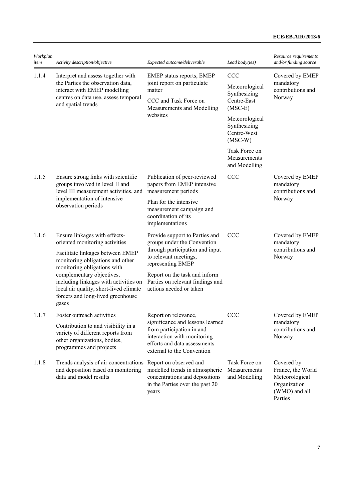| Workplan<br>item | Activity description/objective                                                                                                                                                            | Expected outcome/deliverable                                                                                                                               | Lead body(ies)                                             | Resource requirements<br>and/or funding source                                                |
|------------------|-------------------------------------------------------------------------------------------------------------------------------------------------------------------------------------------|------------------------------------------------------------------------------------------------------------------------------------------------------------|------------------------------------------------------------|-----------------------------------------------------------------------------------------------|
| 1.1.4            | Interpret and assess together with                                                                                                                                                        | EMEP status reports, EMEP                                                                                                                                  | <b>CCC</b>                                                 | Covered by EMEP                                                                               |
|                  | the Parties the observation data,<br>interact with EMEP modelling<br>centres on data use, assess temporal<br>and spatial trends                                                           | joint report on particulate<br>matter<br>CCC and Task Force on                                                                                             | Meteorological<br>Synthesizing<br>Centre-East              | mandatory<br>contributions and<br>Norway                                                      |
|                  |                                                                                                                                                                                           | Measurements and Modelling<br>websites                                                                                                                     | $(MSC-E)$                                                  |                                                                                               |
|                  |                                                                                                                                                                                           |                                                                                                                                                            | Meteorological<br>Synthesizing<br>Centre-West<br>$(MSC-W)$ |                                                                                               |
|                  |                                                                                                                                                                                           |                                                                                                                                                            | Task Force on<br>Measurements<br>and Modelling             |                                                                                               |
| 1.1.5            | Ensure strong links with scientific<br>groups involved in level II and<br>level III measurement activities, and                                                                           | Publication of peer-reviewed<br>papers from EMEP intensive<br>measurement periods                                                                          | <b>CCC</b>                                                 | Covered by EMEP<br>mandatory<br>contributions and                                             |
|                  | implementation of intensive<br>observation periods                                                                                                                                        | Plan for the intensive<br>measurement campaign and<br>coordination of its<br>implementations                                                               |                                                            | Norway                                                                                        |
| 1.1.6            | Ensure linkages with effects-<br>oriented monitoring activities                                                                                                                           | Provide support to Parties and<br>groups under the Convention                                                                                              | <b>CCC</b>                                                 | Covered by EMEP<br>mandatory                                                                  |
|                  | Facilitate linkages between EMEP<br>monitoring obligations and other                                                                                                                      | through participation and input<br>to relevant meetings,<br>representing EMEP                                                                              |                                                            | contributions and<br>Norway                                                                   |
|                  | monitoring obligations with<br>complementary objectives,<br>including linkages with activities on<br>local air quality, short-lived climate<br>forcers and long-lived greenhouse<br>gases | Report on the task and inform<br>Parties on relevant findings and<br>actions needed or taken                                                               |                                                            |                                                                                               |
| 1.1.7            | Foster outreach activities                                                                                                                                                                | Report on relevance,                                                                                                                                       | CCC                                                        | Covered by EMEP                                                                               |
|                  | Contribution to and visibility in a<br>variety of different reports from<br>other organizations, bodies,<br>programmes and projects                                                       | significance and lessons learned<br>from participation in and<br>interaction with monitoring<br>efforts and data assessments<br>external to the Convention |                                                            | mandatory<br>contributions and<br>Norway                                                      |
| 1.1.8            | Trends analysis of air concentrations<br>and deposition based on monitoring<br>data and model results                                                                                     | Report on observed and<br>modelled trends in atmospheric<br>concentrations and depositions<br>in the Parties over the past 20<br>years                     | Task Force on<br>Measurements<br>and Modelling             | Covered by<br>France, the World<br>Meteorological<br>Organization<br>(WMO) and all<br>Parties |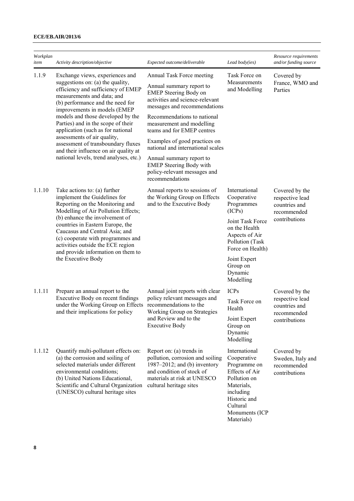| Workplan<br>item | Activity description/objective                                                                                                                                                                                                                                                                                                                                                                                                                                                      | Expected outcome/deliverable                                                                                                                                                                                                                                                                                                                                                                                                              | Lead body(ies)                                                                                                                                                                                         | Resource requirements<br>and/or funding source                                     |
|------------------|-------------------------------------------------------------------------------------------------------------------------------------------------------------------------------------------------------------------------------------------------------------------------------------------------------------------------------------------------------------------------------------------------------------------------------------------------------------------------------------|-------------------------------------------------------------------------------------------------------------------------------------------------------------------------------------------------------------------------------------------------------------------------------------------------------------------------------------------------------------------------------------------------------------------------------------------|--------------------------------------------------------------------------------------------------------------------------------------------------------------------------------------------------------|------------------------------------------------------------------------------------|
| 1.1.9            | Exchange views, experiences and<br>suggestions on: (a) the quality,<br>efficiency and sufficiency of EMEP<br>measurements and data; and<br>(b) performance and the need for<br>improvements in models (EMEP<br>models and those developed by the<br>Parties) and in the scope of their<br>application (such as for national<br>assessments of air quality,<br>assessment of transboundary fluxes<br>and their influence on air quality at<br>national levels, trend analyses, etc.) | Annual Task Force meeting<br>Annual summary report to<br><b>EMEP</b> Steering Body on<br>activities and science-relevant<br>messages and recommendations<br>Recommendations to national<br>measurement and modelling<br>teams and for EMEP centres<br>Examples of good practices on<br>national and international scales<br>Annual summary report to<br><b>EMEP</b> Steering Body with<br>policy-relevant messages and<br>recommendations | Task Force on<br>Measurements<br>and Modelling                                                                                                                                                         | Covered by<br>France, WMO and<br>Parties                                           |
| 1.1.10           | Take actions to: (a) further<br>implement the Guidelines for<br>Reporting on the Monitoring and<br>Modelling of Air Pollution Effects;<br>(b) enhance the involvement of<br>countries in Eastern Europe, the<br>Caucasus and Central Asia; and<br>(c) cooperate with programmes and<br>activities outside the ECE region<br>and provide information on them to<br>the Executive Body                                                                                                | Annual reports to sessions of<br>the Working Group on Effects<br>and to the Executive Body                                                                                                                                                                                                                                                                                                                                                | International<br>Cooperative<br>Programmes<br>(ICPs)<br>Joint Task Force<br>on the Health<br>Aspects of Air<br>Pollution (Task<br>Force on Health)<br>Joint Expert<br>Group on<br>Dynamic<br>Modelling | Covered by the<br>respective lead<br>countries and<br>recommended<br>contributions |
| 1.1.11           | Prepare an annual report to the<br>Executive Body on recent findings<br>under the Working Group on Effects<br>and their implications for policy                                                                                                                                                                                                                                                                                                                                     | Annual joint reports with clear<br>policy relevant messages and<br>recommendations to the<br>Working Group on Strategies<br>and Review and to the<br><b>Executive Body</b>                                                                                                                                                                                                                                                                | <b>ICPs</b><br>Task Force on<br>Health<br>Joint Expert<br>Group on<br>Dynamic<br>Modelling                                                                                                             | Covered by the<br>respective lead<br>countries and<br>recommended<br>contributions |
| 1.1.12           | Quantify multi-pollutant effects on:<br>(a) the corrosion and soiling of<br>selected materials under different<br>environmental conditions;<br>(b) United Nations Educational,<br>Scientific and Cultural Organization<br>(UNESCO) cultural heritage sites                                                                                                                                                                                                                          | Report on: (a) trends in<br>pollution, corrosion and soiling<br>1987 $-2012$ ; and (b) inventory<br>and condition of stock of<br>materials at risk at UNESCO<br>cultural heritage sites                                                                                                                                                                                                                                                   | International<br>Cooperative<br>Programme on<br>Effects of Air<br>Pollution on<br>Materials,<br>including<br>Historic and<br>Cultural<br>Monuments (ICP<br>Materials)                                  | Covered by<br>Sweden, Italy and<br>recommended<br>contributions                    |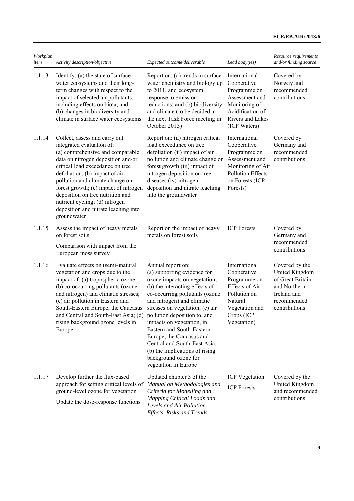| Workplan<br>item | Activity description/objective                                                                                                                                                                                                                                                                                                                                                                                      | Expected outcome/deliverable                                                                                                                                                                                                                                                                                                                                                                                                                                  | Lead body(ies)                                                                                                                                 | Resource requirements<br>and/or funding source                                                                      |
|------------------|---------------------------------------------------------------------------------------------------------------------------------------------------------------------------------------------------------------------------------------------------------------------------------------------------------------------------------------------------------------------------------------------------------------------|---------------------------------------------------------------------------------------------------------------------------------------------------------------------------------------------------------------------------------------------------------------------------------------------------------------------------------------------------------------------------------------------------------------------------------------------------------------|------------------------------------------------------------------------------------------------------------------------------------------------|---------------------------------------------------------------------------------------------------------------------|
| 1.1.13           | Identify: (a) the state of surface<br>water ecosystems and their long-<br>term changes with respect to the<br>impact of selected air pollutants,<br>including effects on biota; and<br>(b) changes in biodiversity and<br>climate in surface water ecosystems                                                                                                                                                       | Report on: (a) trends in surface<br>water chemistry and biology up<br>to 2011, and ecosystem<br>response to emission<br>reductions; and (b) biodiversity<br>and climate (to be decided at<br>the next Task Force meeting in<br>October 2013)                                                                                                                                                                                                                  | International<br>Cooperative<br>Programme on<br>Assessment and<br>Monitoring of<br>Acidification of<br>Rivers and Lakes<br>(ICP Waters)        | Covered by<br>Norway and<br>recommended<br>contributions                                                            |
| 1.1.14           | Collect, assess and carry out<br>integrated evaluation of:<br>(a) comprehensive and comparable<br>data on nitrogen deposition and/or<br>critical load exceedance on tree<br>defoliation; (b) impact of air<br>pollution and climate change on<br>forest growth; (c) impact of nitrogen<br>deposition on tree nutrition and<br>nutrient cycling; (d) nitrogen<br>deposition and nitrate leaching into<br>groundwater | Report on: (a) nitrogen critical<br>load exceedance on tree<br>defoliation (ii) impact of air<br>pollution and climate change on<br>forest growth (iii) impact of<br>nitrogen deposition on tree<br>diseases (iv) nitrogen<br>deposition and nitrate leaching<br>into the groundwater                                                                                                                                                                         | International<br>Cooperative<br>Programme on<br>Assessment and<br>Monitoring of Air<br><b>Pollution Effects</b><br>on Forests (ICP<br>Forests) | Covered by<br>Germany and<br>recommended<br>contributions                                                           |
| 1.1.15           | Assess the impact of heavy metals<br>on forest soils                                                                                                                                                                                                                                                                                                                                                                | Report on the impact of heavy<br>metals on forest soils                                                                                                                                                                                                                                                                                                                                                                                                       | <b>ICP</b> Forests                                                                                                                             | Covered by<br>Germany and                                                                                           |
|                  | Comparison with impact from the<br>European moss survey                                                                                                                                                                                                                                                                                                                                                             |                                                                                                                                                                                                                                                                                                                                                                                                                                                               |                                                                                                                                                | recommended<br>contributions                                                                                        |
| 1.1.16           | Evaluate effects on (semi-)natural<br>vegetation and crops due to the<br>impact of: (a) tropospheric ozone;<br>(b) co-occurring pollutants (ozone<br>and nitrogen) and climatic stresses;<br>(c) air pollution in Eastern and<br>South-Eastern Europe, the Caucasus<br>and Central and South-East Asia; (d)<br>rising background ozone levels in<br>Europe                                                          | Annual report on:<br>(a) supporting evidence for<br>ozone impacts on vegetation;<br>(b) the interacting effects of<br>co-occurring pollutants (ozone<br>and nitrogen) and climatic<br>stresses on vegetation; (c) air<br>pollution deposition to, and<br>impacts on vegetation, in<br>Eastern and South-Eastern<br>Europe, the Caucasus and<br>Central and South-East Asia;<br>(b) the implications of rising<br>background ozone for<br>vegetation in Europe | International<br>Cooperative<br>Programme on<br>Effects of Air<br>Pollution on<br>Natural<br>Vegetation and<br>Crops (ICP<br>Vegetation)       | Covered by the<br>United Kingdom<br>of Great Britain<br>and Northern<br>Ireland and<br>recommended<br>contributions |
| 1.1.17           | Develop further the flux-based<br>approach for setting critical levels of<br>ground-level ozone for vegetation<br>Update the dose-response functions                                                                                                                                                                                                                                                                | Updated chapter 3 of the<br>Manual on Methodologies and<br>Criteria for Modelling and<br>Mapping Critical Loads and<br>Levels and Air Pollution<br>Effects, Risks and Trends                                                                                                                                                                                                                                                                                  | <b>ICP</b> Vegetation<br><b>ICP</b> Forests                                                                                                    | Covered by the<br>United Kingdom<br>and recommended<br>contributions                                                |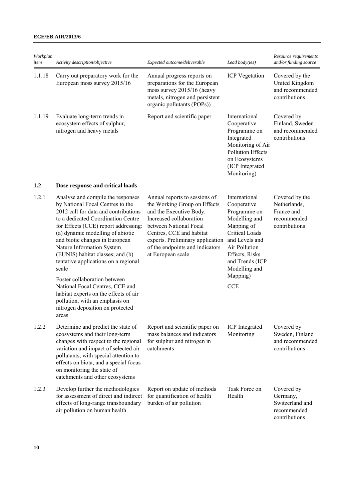| Workplan<br>item | Activity description/objective                                                                                                                                                                                                                                                                                                                                                                                                                                                                                                                                                 | Expected outcome/deliverable                                                                                                                                                                                                                                          | Lead body(ies)                                                                                                                                                                                                          | Resource requirements<br>and/or funding source                               |
|------------------|--------------------------------------------------------------------------------------------------------------------------------------------------------------------------------------------------------------------------------------------------------------------------------------------------------------------------------------------------------------------------------------------------------------------------------------------------------------------------------------------------------------------------------------------------------------------------------|-----------------------------------------------------------------------------------------------------------------------------------------------------------------------------------------------------------------------------------------------------------------------|-------------------------------------------------------------------------------------------------------------------------------------------------------------------------------------------------------------------------|------------------------------------------------------------------------------|
| 1.1.18           | Carry out preparatory work for the<br>European moss survey 2015/16                                                                                                                                                                                                                                                                                                                                                                                                                                                                                                             | Annual progress reports on<br>preparations for the European<br>moss survey 2015/16 (heavy<br>metals, nitrogen and persistent<br>organic pollutants (POPs))                                                                                                            | <b>ICP</b> Vegetation                                                                                                                                                                                                   | Covered by the<br>United Kingdom<br>and recommended<br>contributions         |
| 1.1.19           | Evaluate long-term trends in<br>ecosystem effects of sulphur,<br>nitrogen and heavy metals                                                                                                                                                                                                                                                                                                                                                                                                                                                                                     | Report and scientific paper                                                                                                                                                                                                                                           | International<br>Cooperative<br>Programme on<br>Integrated<br>Monitoring of Air<br><b>Pollution Effects</b><br>on Ecosystems<br>(ICP Integrated<br>Monitoring)                                                          | Covered by<br>Finland, Sweden<br>and recommended<br>contributions            |
| 1.2              | Dose response and critical loads                                                                                                                                                                                                                                                                                                                                                                                                                                                                                                                                               |                                                                                                                                                                                                                                                                       |                                                                                                                                                                                                                         |                                                                              |
| 1.2.1            | Analyse and compile the responses<br>by National Focal Centres to the<br>2012 call for data and contributions<br>to a dedicated Coordination Centre<br>for Effects (CCE) report addressing:<br>(a) dynamic modelling of abiotic<br>and biotic changes in European<br>Nature Information System<br>(EUNIS) habitat classes; and (b)<br>tentative applications on a regional<br>scale<br>Foster collaboration between<br>National Focal Centres, CCE and<br>habitat experts on the effects of air<br>pollution, with an emphasis on<br>nitrogen deposition on protected<br>areas | Annual reports to sessions of<br>the Working Group on Effects<br>and the Executive Body.<br>Increased collaboration<br>between National Focal<br>Centres, CCE and habitat<br>experts. Preliminary application<br>of the endpoints and indicators<br>at European scale | International<br>Cooperative<br>Programme on<br>Modelling and<br>Mapping of<br><b>Critical Loads</b><br>and Levels and<br>Air Pollution<br>Effects, Risks<br>and Trends (ICP<br>Modelling and<br>Mapping)<br><b>CCE</b> | Covered by the<br>Netherlands,<br>France and<br>recommended<br>contributions |
| 1.2.2            | Determine and predict the state of<br>ecosystems and their long-term<br>changes with respect to the regional<br>variation and impact of selected air<br>pollutants, with special attention to<br>effects on biota, and a special focus<br>on monitoring the state of<br>catchments and other ecosystems                                                                                                                                                                                                                                                                        | Report and scientific paper on<br>mass balances and indicators<br>for sulphur and nitrogen in<br>catchments                                                                                                                                                           | <b>ICP</b> Integrated<br>Monitoring                                                                                                                                                                                     | Covered by<br>Sweden, Finland<br>and recommended<br>contributions            |
| 1.2.3            | Develop further the methodologies<br>for assessment of direct and indirect<br>effects of long-range transboundary<br>air pollution on human health                                                                                                                                                                                                                                                                                                                                                                                                                             | Report on update of methods<br>for quantification of health<br>burden of air pollution                                                                                                                                                                                | Task Force on<br>Health                                                                                                                                                                                                 | Covered by<br>Germany,<br>Switzerland and<br>recommended<br>contributions    |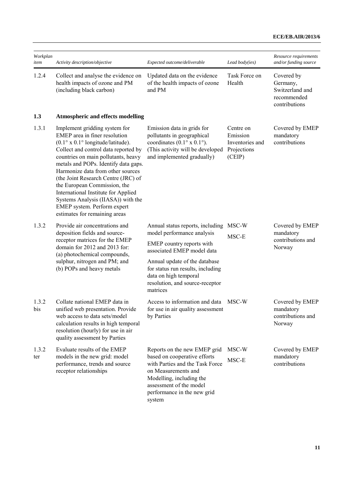| Workplan<br>item | Activity description/objective                                                                                                                                                                                                                                                                                                                                                                                                                                                                           | Expected outcome/deliverable                                                                                                                                                           | Lead body(ies)                                                    | Resource requirements<br>and/or funding source                            |
|------------------|----------------------------------------------------------------------------------------------------------------------------------------------------------------------------------------------------------------------------------------------------------------------------------------------------------------------------------------------------------------------------------------------------------------------------------------------------------------------------------------------------------|----------------------------------------------------------------------------------------------------------------------------------------------------------------------------------------|-------------------------------------------------------------------|---------------------------------------------------------------------------|
| 1.2.4            | Collect and analyse the evidence on<br>health impacts of ozone and PM<br>(including black carbon)                                                                                                                                                                                                                                                                                                                                                                                                        | Updated data on the evidence<br>of the health impacts of ozone<br>and PM                                                                                                               | Task Force on<br>Health                                           | Covered by<br>Germany,<br>Switzerland and<br>recommended<br>contributions |
| 1.3              | <b>Atmospheric and effects modelling</b>                                                                                                                                                                                                                                                                                                                                                                                                                                                                 |                                                                                                                                                                                        |                                                                   |                                                                           |
| 1.3.1            | Implement gridding system for<br>EMEP area in finer resolution<br>$(0.1^{\circ} \times 0.1^{\circ}$ longitude/latitude).<br>Collect and control data reported by<br>countries on main pollutants, heavy<br>metals and POPs. Identify data gaps.<br>Harmonize data from other sources<br>(the Joint Research Centre (JRC) of<br>the European Commission, the<br>International Institute for Applied<br>Systems Analysis (IIASA)) with the<br>EMEP system. Perform expert<br>estimates for remaining areas | Emission data in grids for<br>pollutants in geographical<br>coordinates $(0.1^{\circ} \times 0.1^{\circ})$ .<br>(This activity will be developed<br>and implemented gradually)         | Centre on<br>Emission<br>Inventories and<br>Projections<br>(CEIP) | Covered by EMEP<br>mandatory<br>contributions                             |
| 1.3.2            | Provide air concentrations and<br>deposition fields and source-<br>receptor matrices for the EMEP<br>domain for 2012 and 2013 for:<br>(a) photochemical compounds,<br>sulphur, nitrogen and PM; and<br>(b) POPs and heavy metals                                                                                                                                                                                                                                                                         | Annual status reports, including                                                                                                                                                       | MSC-W                                                             | Covered by EMEP<br>mandatory<br>contributions and<br>Norway               |
|                  |                                                                                                                                                                                                                                                                                                                                                                                                                                                                                                          | model performance analysis<br>EMEP country reports with<br>associated EMEP model data                                                                                                  | MSC-E                                                             |                                                                           |
|                  |                                                                                                                                                                                                                                                                                                                                                                                                                                                                                                          | Annual update of the database<br>for status run results, including<br>data on high temporal<br>resolution, and source-receptor<br>matrices                                             |                                                                   |                                                                           |
| 1.3.2<br>bis     | Collate national EMEP data in<br>unified web presentation. Provide<br>web access to data sets/model<br>calculation results in high temporal<br>resolution (hourly) for use in air<br>quality assessment by Parties                                                                                                                                                                                                                                                                                       | Access to information and data<br>for use in air quality assessment<br>by Parties                                                                                                      | MSC-W                                                             | Covered by EMEP<br>mandatory<br>contributions and<br>Norway               |
| 1.3.2            | Evaluate results of the EMEP                                                                                                                                                                                                                                                                                                                                                                                                                                                                             | Reports on the new EMEP grid                                                                                                                                                           | MSC-W                                                             | Covered by EMEP                                                           |
| ter              | models in the new grid: model<br>performance, trends and source<br>receptor relationships                                                                                                                                                                                                                                                                                                                                                                                                                | based on cooperative efforts<br>with Parties and the Task Force<br>on Measurements and<br>Modelling, including the<br>assessment of the model<br>performance in the new grid<br>system | MSC-E                                                             | mandatory<br>contributions                                                |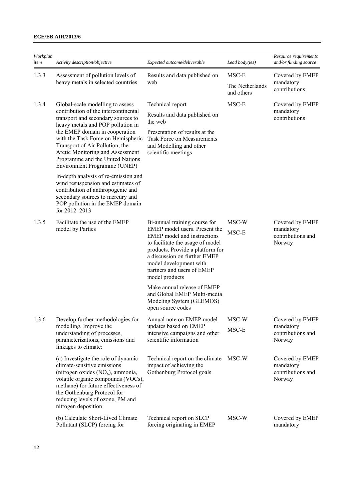| Workplan<br>item | Activity description/objective                                                                                                                                                                                                                                                                                                                                         | Expected outcome/deliverable                                                                                                                                                                                                                          | Lead body(ies)                | Resource requirements<br>and/or funding source              |
|------------------|------------------------------------------------------------------------------------------------------------------------------------------------------------------------------------------------------------------------------------------------------------------------------------------------------------------------------------------------------------------------|-------------------------------------------------------------------------------------------------------------------------------------------------------------------------------------------------------------------------------------------------------|-------------------------------|-------------------------------------------------------------|
| 1.3.3            | Assessment of pollution levels of                                                                                                                                                                                                                                                                                                                                      | Results and data published on                                                                                                                                                                                                                         | MSC-E                         | Covered by EMEP                                             |
|                  | heavy metals in selected countries                                                                                                                                                                                                                                                                                                                                     | web                                                                                                                                                                                                                                                   | The Netherlands<br>and others | mandatory<br>contributions                                  |
| 1.3.4            | Global-scale modelling to assess<br>contribution of the intercontinental<br>transport and secondary sources to<br>heavy metals and POP pollution in<br>the EMEP domain in cooperation<br>with the Task Force on Hemispheric<br>Transport of Air Pollution, the<br>Arctic Monitoring and Assessment<br>Programme and the United Nations<br>Environment Programme (UNEP) | Technical report<br>Results and data published on<br>the web<br>Presentation of results at the<br><b>Task Force on Measurements</b><br>and Modelling and other<br>scientific meetings                                                                 | MSC-E                         | Covered by EMEP<br>mandatory<br>contributions               |
|                  | In-depth analysis of re-emission and<br>wind resuspension and estimates of<br>contribution of anthropogenic and<br>secondary sources to mercury and<br>POP pollution in the EMEP domain<br>for 2012-2013                                                                                                                                                               |                                                                                                                                                                                                                                                       |                               |                                                             |
| 1.3.5            | Facilitate the use of the EMEP<br>model by Parties                                                                                                                                                                                                                                                                                                                     | Bi-annual training course for                                                                                                                                                                                                                         | MSC-W                         | Covered by EMEP                                             |
|                  |                                                                                                                                                                                                                                                                                                                                                                        | EMEP model users. Present the<br><b>EMEP</b> model and instructions<br>to facilitate the usage of model<br>products. Provide a platform for<br>a discussion on further EMEP<br>model development with<br>partners and users of EMEP<br>model products | MSC-E                         | mandatory<br>contributions and<br>Norway                    |
|                  |                                                                                                                                                                                                                                                                                                                                                                        | Make annual release of EMEP<br>and Global EMEP Multi-media<br>Modeling System (GLEMOS)<br>open source codes                                                                                                                                           |                               |                                                             |
| 1.3.6            | Develop further methodologies for                                                                                                                                                                                                                                                                                                                                      | Annual note on EMEP model                                                                                                                                                                                                                             | MSC-W                         | Covered by EMEP                                             |
|                  | modelling. Improve the<br>understanding of processes,<br>parameterizations, emissions and<br>linkages to climate:                                                                                                                                                                                                                                                      | updates based on EMEP<br>intensive campaigns and other<br>scientific information                                                                                                                                                                      | MSC-E                         | mandatory<br>contributions and<br>Norway                    |
|                  | (a) Investigate the role of dynamic<br>climate-sensitive emissions<br>(nitrogen oxides $(NOx)$ , ammonia,<br>volatile organic compounds (VOCs),<br>methane) for future effectiveness of<br>the Gothenburg Protocol for<br>reducing levels of ozone, PM and<br>nitrogen deposition                                                                                      | Technical report on the climate<br>impact of achieving the<br>Gothenburg Protocol goals                                                                                                                                                               | MSC-W                         | Covered by EMEP<br>mandatory<br>contributions and<br>Norway |
|                  | (b) Calculate Short-Lived Climate<br>Pollutant (SLCP) forcing for                                                                                                                                                                                                                                                                                                      | Technical report on SLCP<br>forcing originating in EMEP                                                                                                                                                                                               | MSC-W                         | Covered by EMEP<br>mandatory                                |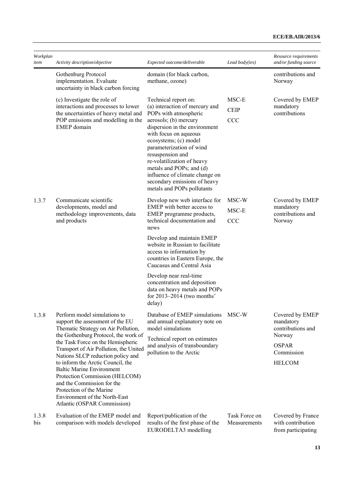| Workplan<br>item | Activity description/objective                                                                                                                                                                                                                                                                                                                                                                                                                                                                           | Expected outcome/deliverable                                                                                                                                                                                                                                                                                                                                                                          | Lead body(ies)                     | Resource requirements<br>and/or funding source                                                             |
|------------------|----------------------------------------------------------------------------------------------------------------------------------------------------------------------------------------------------------------------------------------------------------------------------------------------------------------------------------------------------------------------------------------------------------------------------------------------------------------------------------------------------------|-------------------------------------------------------------------------------------------------------------------------------------------------------------------------------------------------------------------------------------------------------------------------------------------------------------------------------------------------------------------------------------------------------|------------------------------------|------------------------------------------------------------------------------------------------------------|
|                  | Gothenburg Protocol<br>implementation. Evaluate<br>uncertainty in black carbon forcing                                                                                                                                                                                                                                                                                                                                                                                                                   | domain (for black carbon,<br>methane, ozone)                                                                                                                                                                                                                                                                                                                                                          |                                    | contributions and<br>Norway                                                                                |
|                  | (c) Investigate the role of<br>interactions and processes to lower<br>the uncertainties of heavy metal and<br>POP emissions and modelling in the<br><b>EMEP</b> domain                                                                                                                                                                                                                                                                                                                                   | Technical report on:<br>(a) interaction of mercury and<br>POPs with atmospheric<br>aerosols; (b) mercury<br>dispersion in the environment<br>with focus on aqueous<br>ecosystems; (c) model<br>parameterization of wind<br>resuspension and<br>re-volatilization of heavy<br>metals and POPs; and (d)<br>influence of climate change on<br>secondary emissions of heavy<br>metals and POPs pollutants | MSC-E<br><b>CEIP</b><br><b>CCC</b> | Covered by EMEP<br>mandatory<br>contributions                                                              |
| 1.3.7            | Communicate scientific<br>developments, model and<br>methodology improvements, data<br>and products                                                                                                                                                                                                                                                                                                                                                                                                      | Develop new web interface for<br>EMEP with better access to<br>EMEP programme products,<br>technical documentation and<br>news<br>Develop and maintain EMEP<br>website in Russian to facilitate<br>access to information by<br>countries in Eastern Europe, the<br>Caucasus and Central Asia<br>Develop near real-time<br>concentration and deposition                                                | MSC-W<br>MSC-E<br><b>CCC</b>       | Covered by EMEP<br>mandatory<br>contributions and<br>Norway                                                |
| 1.3.8            | Perform model simulations to<br>support the assessment of the EU<br>Thematic Strategy on Air Pollution,<br>the Gothenburg Protocol, the work of<br>the Task Force on the Hemispheric<br>Transport of Air Pollution, the United<br>Nations SLCP reduction policy and<br>to inform the Arctic Council, the<br><b>Baltic Marine Environment</b><br>Protection Commission (HELCOM)<br>and the Commission for the<br>Protection of the Marine<br>Environment of the North-East<br>Atlantic (OSPAR Commission) | data on heavy metals and POPs<br>for $2013 - 2014$ (two months'<br>delay)<br>Database of EMEP simulations MSC-W<br>and annual explanatory note on<br>model simulations<br>Technical report on estimates<br>and analysis of transboundary<br>pollution to the Arctic                                                                                                                                   |                                    | Covered by EMEP<br>mandatory<br>contributions and<br>Norway<br><b>OSPAR</b><br>Commission<br><b>HELCOM</b> |
| 1.3.8<br>bis     | Evaluation of the EMEP model and<br>comparison with models developed                                                                                                                                                                                                                                                                                                                                                                                                                                     | Report/publication of the<br>results of the first phase of the<br>EURODELTA3 modelling                                                                                                                                                                                                                                                                                                                | Task Force on<br>Measurements      | Covered by France<br>with contribution<br>from participating                                               |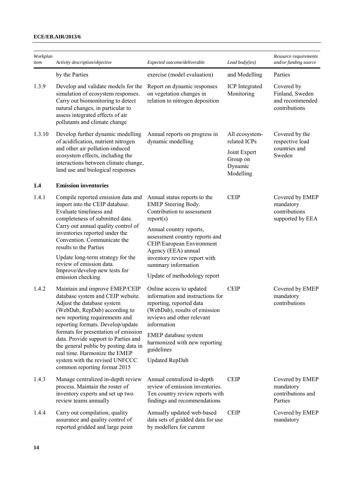| Workplan |                                                                                                                                                                                                                                                                                                                                                                                                                                       |                                                                                                                                                                                                                                                                                                               |                                                  | Resource requirements                                             |
|----------|---------------------------------------------------------------------------------------------------------------------------------------------------------------------------------------------------------------------------------------------------------------------------------------------------------------------------------------------------------------------------------------------------------------------------------------|---------------------------------------------------------------------------------------------------------------------------------------------------------------------------------------------------------------------------------------------------------------------------------------------------------------|--------------------------------------------------|-------------------------------------------------------------------|
| item     | Activity description/objective                                                                                                                                                                                                                                                                                                                                                                                                        | Expected outcome/deliverable                                                                                                                                                                                                                                                                                  | Lead body(ies)                                   | and/or funding source                                             |
|          | by the Parties                                                                                                                                                                                                                                                                                                                                                                                                                        | exercise (model evaluation)                                                                                                                                                                                                                                                                                   | and Modelling                                    | Parties                                                           |
| 1.3.9    | Develop and validate models for the<br>simulation of ecosystem responses.<br>Carry out biomonitoring to detect<br>natural changes, in particular to<br>assess integrated effects of air<br>pollutants and climate change                                                                                                                                                                                                              | Report on dynamic responses<br>on vegetation changes in<br>relation to nitrogen deposition                                                                                                                                                                                                                    | <b>ICP</b> Integrated<br>Monitoring              | Covered by<br>Finland, Sweden<br>and recommended<br>contributions |
| 1.3.10   | Develop further dynamic modelling<br>of acidification, nutrient nitrogen                                                                                                                                                                                                                                                                                                                                                              | Annual reports on progress in<br>dynamic modelling                                                                                                                                                                                                                                                            | All ecosystem-<br>related ICPs                   | Covered by the<br>respective lead<br>countries and<br>Sweden      |
|          | and other air pollution-induced<br>ecosystem effects, including the<br>interactions between climate change,<br>land use and biological responses                                                                                                                                                                                                                                                                                      |                                                                                                                                                                                                                                                                                                               | Joint Expert<br>Group on<br>Dynamic<br>Modelling |                                                                   |
| 1.4      | <b>Emission inventories</b>                                                                                                                                                                                                                                                                                                                                                                                                           |                                                                                                                                                                                                                                                                                                               |                                                  |                                                                   |
| 1.4.1    | Compile reported emission data and<br>import into the CEIP database.<br>Evaluate timeliness and<br>completeness of submitted data.<br>Carry out annual quality control of<br>inventories reported under the<br>Convention. Communicate the<br>results to the Parties<br>Update long-term strategy for the<br>review of emission data.<br>Improve/develop new tests for<br>emission checking                                           | Annual status reports to the<br><b>EMEP</b> Steering Body.<br>Contribution to assessment<br>report(s)<br>Annual country reports,<br>assessment country reports and<br>CEIP/European Environment<br>Agency (EEA) annual<br>inventory review report with<br>summary information<br>Update of methodology report | <b>CEIP</b>                                      | Covered by EMEP<br>mandatory<br>contributions<br>supported by EEA |
| 1.4.2    | Maintain and improve EMEP/CEIP<br>database system and CEIP website.<br>Adjust the database system<br>(WebDab, RepDab) according to<br>new reporting requirements and<br>reporting formats. Develop/update<br>formats for presentation of emission<br>data. Provide support to Parties and<br>the general public by posting data in<br>real time. Harmonize the EMEP<br>system with the revised UNFCCC<br>common reporting format 2015 | Online access to updated<br>information and instructions for<br>reporting, reported data<br>(WebDab), results of emission<br>reviews and other relevant<br>information<br>EMEP database system<br>harmonized with new reporting<br>guidelines<br>Updated RepDab                                               | <b>CEIP</b>                                      | Covered by EMEP<br>mandatory<br>contributions                     |
| 1.4.3    | Manage centralized in-depth review<br>process. Maintain the roster of<br>inventory experts and set up two<br>review teams annually                                                                                                                                                                                                                                                                                                    | Annual centralized in-depth<br>review of emission inventories.<br>Ten country review reports with<br>findings and recommendations                                                                                                                                                                             | <b>CEIP</b>                                      | Covered by EMEP<br>mandatory<br>contributions and<br>Parties      |
| 1.4.4    | Carry out compilation, quality<br>assurance and quality control of<br>reported gridded and large point                                                                                                                                                                                                                                                                                                                                | Annually updated web-based<br>data sets of gridded data for use<br>by modellers for current                                                                                                                                                                                                                   | <b>CEIP</b>                                      | Covered by EMEP<br>mandatory                                      |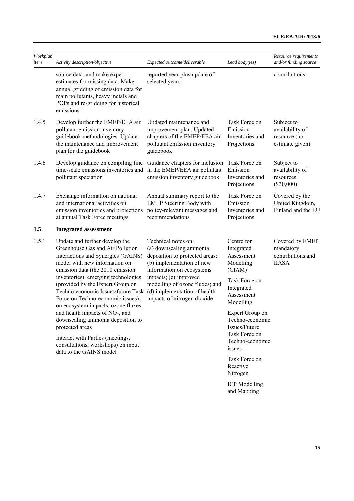| Workplan<br>item | Activity description/objective                                                                                                                                                                    | Expected outcome/deliverable                                                                                                               | Lead body(ies)                                                | Resource requirements<br>and/or funding source                    |
|------------------|---------------------------------------------------------------------------------------------------------------------------------------------------------------------------------------------------|--------------------------------------------------------------------------------------------------------------------------------------------|---------------------------------------------------------------|-------------------------------------------------------------------|
|                  | source data, and make expert<br>estimates for missing data. Make<br>annual gridding of emission data for<br>main pollutants, heavy metals and<br>POPs and re-gridding for historical<br>emissions | reported year plus update of<br>selected years                                                                                             |                                                               | contributions                                                     |
| 1.4.5            | Develop further the EMEP/EEA air<br>pollutant emission inventory<br>guidebook methodologies. Update<br>the maintenance and improvement<br>plan for the guidebook                                  | Updated maintenance and<br>improvement plan. Updated<br>chapters of the EMEP/EEA air<br>pollutant emission inventory<br>guidebook          | Task Force on<br>Emission<br>Inventories and<br>Projections   | Subject to<br>availability of<br>resource (no<br>estimate given)  |
| 1.4.6            | Develop guidance on compiling fine<br>time-scale emissions inventories and<br>pollutant speciation                                                                                                | Guidance chapters for inclusion<br>in the EMEP/EEA air pollutant<br>emission inventory guidebook                                           | Task Force on<br>Emission<br>Inventories and<br>Projections   | Subject to<br>availability of<br>resources<br>$(\$30,000)$        |
| 1.4.7            | Exchange information on national<br>and international activities on<br>emission inventories and projections<br>at annual Task Force meetings                                                      | Annual summary report to the<br><b>EMEP Steering Body with</b><br>policy-relevant messages and<br>recommendations                          | Task Force on<br>Emission<br>Inventories and<br>Projections   | Covered by the<br>United Kingdom,<br>Finland and the EU           |
| 1.5              | <b>Integrated assessment</b>                                                                                                                                                                      |                                                                                                                                            |                                                               |                                                                   |
| 1.5.1            | Update and further develop the<br>Greenhouse Gas and Air Pollution<br>Interactions and Synergies (GAINS)<br>model with new information on<br>emission data (the 2010 emission                     | Technical notes on:<br>(a) downscaling ammonia<br>deposition to protected areas;<br>(b) implementation of new<br>information on ecosystems | Centre for<br>Integrated<br>Assessment<br>Modelling<br>(CIAM) | Covered by EMEP<br>mandatory<br>contributions and<br><b>IIASA</b> |
|                  | inventories), emerging technologies<br>(provided by the Expert Group on<br>Techno-economic Issues/future Task<br>Force on Techno-economic issues),<br>on ecosystem impacts, ozone fluxes          | impacts; (c) improved<br>modelling of ozone fluxes; and<br>(d) implementation of health<br>impacts of nitrogen dioxide                     | Task Force on<br>Integrated<br>Assessment<br>Modelling        |                                                                   |
|                  | and health impacts of $NOx$ , and<br>downscaling ammonia deposition to<br>protected areas                                                                                                         |                                                                                                                                            | Expert Group on<br>Techno-economic<br>Issues/Future           |                                                                   |
|                  | Interact with Parties (meetings,<br>consultations, workshops) on input<br>data to the GAINS model                                                                                                 |                                                                                                                                            | Task Force on<br>Techno-economic<br>issues                    |                                                                   |
|                  |                                                                                                                                                                                                   |                                                                                                                                            | Task Force on<br>Reactive<br>Nitrogen                         |                                                                   |
|                  |                                                                                                                                                                                                   |                                                                                                                                            | <b>ICP</b> Modelling<br>and Mapping                           |                                                                   |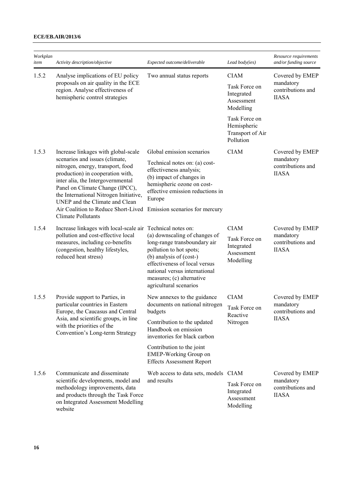| Workplan<br>item | Activity description/objective                                                                                                                                                                                                                                                                                                                                 | Expected outcome/deliverable                                                                                                                                                                                                                 | Lead body(ies)                                                | Resource requirements<br>and/or funding source                    |
|------------------|----------------------------------------------------------------------------------------------------------------------------------------------------------------------------------------------------------------------------------------------------------------------------------------------------------------------------------------------------------------|----------------------------------------------------------------------------------------------------------------------------------------------------------------------------------------------------------------------------------------------|---------------------------------------------------------------|-------------------------------------------------------------------|
| 1.5.2            | Analyse implications of EU policy                                                                                                                                                                                                                                                                                                                              | Two annual status reports                                                                                                                                                                                                                    | <b>CIAM</b>                                                   | Covered by EMEP                                                   |
|                  | proposals on air quality in the ECE<br>region. Analyse effectiveness of<br>hemispheric control strategies                                                                                                                                                                                                                                                      |                                                                                                                                                                                                                                              | Task Force on<br>Integrated<br>Assessment<br>Modelling        | mandatory<br>contributions and<br><b>IIASA</b>                    |
|                  |                                                                                                                                                                                                                                                                                                                                                                |                                                                                                                                                                                                                                              | Task Force on<br>Hemispheric<br>Transport of Air<br>Pollution |                                                                   |
| 1.5.3            | Increase linkages with global-scale                                                                                                                                                                                                                                                                                                                            | Global emission scenarios                                                                                                                                                                                                                    | <b>CIAM</b>                                                   | Covered by EMEP                                                   |
|                  | scenarios and issues (climate,<br>nitrogen, energy, transport, food<br>production) in cooperation with,<br>inter alia, the Intergovernmental<br>Panel on Climate Change (IPCC),<br>the International Nitrogen Initiative,<br>UNEP and the Climate and Clean<br>Air Coalition to Reduce Short-Lived Emission scenarios for mercury<br><b>Climate Pollutants</b> | Technical notes on: (a) cost-<br>effectiveness analysis;<br>(b) impact of changes in<br>hemispheric ozone on cost-<br>effective emission reductions in<br>Europe                                                                             |                                                               | mandatory<br>contributions and<br><b>IIASA</b>                    |
| 1.5.4            | Increase linkages with local-scale air Technical notes on:                                                                                                                                                                                                                                                                                                     |                                                                                                                                                                                                                                              | <b>CIAM</b>                                                   | Covered by EMEP<br>mandatory<br>contributions and<br><b>IIASA</b> |
|                  | pollution and cost-effective local<br>measures, including co-benefits<br>(congestion, healthy lifestyles,<br>reduced heat stress)                                                                                                                                                                                                                              | (a) downscaling of changes of<br>long-range transboundary air<br>pollution to hot spots;<br>(b) analysis of (cost-)<br>effectiveness of local versus<br>national versus international<br>measures; (c) alternative<br>agricultural scenarios | Task Force on<br>Integrated<br>Assessment<br>Modelling        |                                                                   |
| 1.5.5            | Provide support to Parties, in                                                                                                                                                                                                                                                                                                                                 | New annexes to the guidance                                                                                                                                                                                                                  | <b>CIAM</b><br>Task Force on<br>Reactive<br>Nitrogen          | Covered by EMEP<br>mandatory<br>contributions and<br><b>IIASA</b> |
|                  | particular countries in Eastern<br>Europe, the Caucasus and Central                                                                                                                                                                                                                                                                                            | documents on national nitrogen<br>budgets                                                                                                                                                                                                    |                                                               |                                                                   |
|                  | Asia, and scientific groups, in line<br>with the priorities of the<br>Convention's Long-term Strategy                                                                                                                                                                                                                                                          | Contribution to the updated<br>Handbook on emission<br>inventories for black carbon                                                                                                                                                          |                                                               |                                                                   |
|                  |                                                                                                                                                                                                                                                                                                                                                                | Contribution to the joint<br><b>EMEP-Working Group on</b><br><b>Effects Assessment Report</b>                                                                                                                                                |                                                               |                                                                   |
| 1.5.6            | Communicate and disseminate                                                                                                                                                                                                                                                                                                                                    | Web access to data sets, models CIAM                                                                                                                                                                                                         |                                                               | Covered by EMEP                                                   |
|                  | scientific developments, model and<br>methodology improvements, data<br>and products through the Task Force<br>on Integrated Assessment Modelling<br>website                                                                                                                                                                                                   | and results                                                                                                                                                                                                                                  | Task Force on<br>Integrated<br>Assessment<br>Modelling        | mandatory<br>contributions and<br><b>IIASA</b>                    |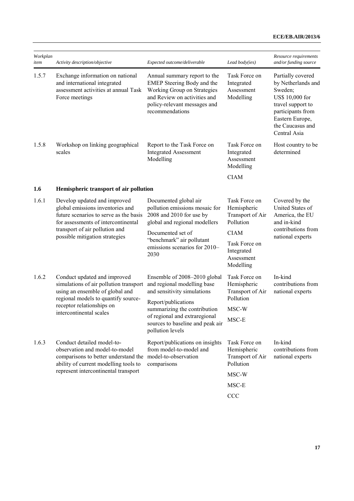| Workplan<br>item | Activity description/objective                                                                                                                                                                                        | Expected outcome/deliverable                                                                                                                                                 | Lead body(ies)                                                        | Resource requirements<br>and/or funding source                                                                                                                         |
|------------------|-----------------------------------------------------------------------------------------------------------------------------------------------------------------------------------------------------------------------|------------------------------------------------------------------------------------------------------------------------------------------------------------------------------|-----------------------------------------------------------------------|------------------------------------------------------------------------------------------------------------------------------------------------------------------------|
| 1.5.7            | Exchange information on national<br>and international integrated<br>assessment activities at annual Task<br>Force meetings                                                                                            | Annual summary report to the<br>EMEP Steering Body and the<br>Working Group on Strategies<br>and Review on activities and<br>policy-relevant messages and<br>recommendations | Task Force on<br>Integrated<br>Assessment<br>Modelling                | Partially covered<br>by Netherlands and<br>Sweden;<br>US\$ 10,000 for<br>travel support to<br>participants from<br>Eastern Europe,<br>the Caucasus and<br>Central Asia |
| 1.5.8            | Workshop on linking geographical<br>scales                                                                                                                                                                            | Report to the Task Force on<br><b>Integrated Assessment</b><br>Modelling                                                                                                     | Task Force on<br>Integrated<br>Assessment<br>Modelling<br><b>CIAM</b> | Host country to be<br>determined                                                                                                                                       |
| 1.6              | Hemispheric transport of air pollution                                                                                                                                                                                |                                                                                                                                                                              |                                                                       |                                                                                                                                                                        |
| 1.6.1            | Develop updated and improved<br>global emissions inventories and<br>future scenarios to serve as the basis<br>for assessments of intercontinental<br>transport of air pollution and<br>possible mitigation strategies | Documented global air<br>pollution emissions mosaic for<br>2008 and 2010 for use by<br>global and regional modellers                                                         | Task Force on<br>Hemispheric<br>Transport of Air<br>Pollution         | Covered by the<br>United States of<br>America, the EU<br>and in-kind<br>contributions from<br>national experts                                                         |
|                  |                                                                                                                                                                                                                       | Documented set of<br>"benchmark" air pollutant<br>emissions scenarios for 2010-<br>2030                                                                                      | <b>CIAM</b>                                                           |                                                                                                                                                                        |
|                  |                                                                                                                                                                                                                       |                                                                                                                                                                              | Task Force on<br>Integrated<br>Assessment<br>Modelling                |                                                                                                                                                                        |
| 1.6.2            | Conduct updated and improved<br>simulations of air pollution transport<br>using an ensemble of global and<br>regional models to quantify source-<br>receptor relationships on<br>intercontinental scales              | Ensemble of 2008-2010 global<br>and regional modelling base<br>and sensitivity simulations                                                                                   | Task Force on<br>Hemispheric<br>Transport of Air                      | In-kind<br>contributions from<br>national experts                                                                                                                      |
|                  |                                                                                                                                                                                                                       | Report/publications<br>summarizing the contribution<br>of regional and extraregional<br>sources to baseline and peak air<br>pollution levels                                 | Pollution<br>MSC-W                                                    |                                                                                                                                                                        |
|                  |                                                                                                                                                                                                                       |                                                                                                                                                                              | MSC-E                                                                 |                                                                                                                                                                        |
| 1.6.3            | Conduct detailed model-to-<br>observation and model-to-model<br>comparisons to better understand the<br>ability of current modelling tools to                                                                         | Report/publications on insights<br>from model-to-model and<br>model-to-observation<br>comparisons                                                                            | Task Force on<br>Hemispheric<br>Transport of Air<br>Pollution         | In-kind<br>contributions from<br>national experts                                                                                                                      |
|                  | represent intercontinental transport                                                                                                                                                                                  |                                                                                                                                                                              | MSC-W                                                                 |                                                                                                                                                                        |
|                  |                                                                                                                                                                                                                       |                                                                                                                                                                              | MSC-E                                                                 |                                                                                                                                                                        |
|                  |                                                                                                                                                                                                                       |                                                                                                                                                                              | <b>CCC</b>                                                            |                                                                                                                                                                        |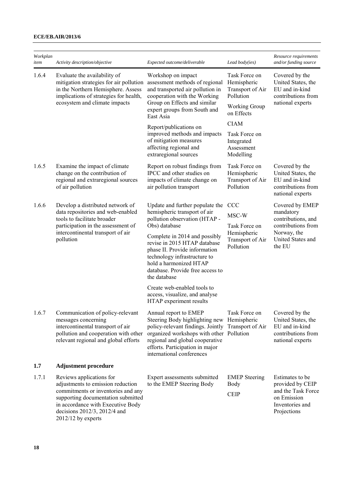| Workplan<br>item | Activity description/objective                                                                                                                                                                                                              | Expected outcome/deliverable                                                                                                                                                                                                                                             | Lead body(ies)                                                                                      | Resource requirements<br>and/or funding source                                                                         |
|------------------|---------------------------------------------------------------------------------------------------------------------------------------------------------------------------------------------------------------------------------------------|--------------------------------------------------------------------------------------------------------------------------------------------------------------------------------------------------------------------------------------------------------------------------|-----------------------------------------------------------------------------------------------------|------------------------------------------------------------------------------------------------------------------------|
| 1.6.4            | Evaluate the availability of<br>mitigation strategies for air pollution<br>in the Northern Hemisphere. Assess<br>implications of strategies for health,<br>ecosystem and climate impacts                                                    | Workshop on impact<br>assessment methods of regional<br>and transported air pollution in<br>cooperation with the Working<br>Group on Effects and similar<br>expert groups from South and<br>East Asia                                                                    | Task Force on<br>Hemispheric<br>Transport of Air<br>Pollution<br><b>Working Group</b><br>on Effects | Covered by the<br>United States, the<br>EU and in-kind<br>contributions from<br>national experts                       |
|                  |                                                                                                                                                                                                                                             | Report/publications on<br>improved methods and impacts<br>of mitigation measures<br>affecting regional and<br>extraregional sources                                                                                                                                      | <b>CIAM</b><br>Task Force on<br>Integrated<br>Assessment<br>Modelling                               |                                                                                                                        |
| 1.6.5            | Examine the impact of climate<br>change on the contribution of<br>regional and extraregional sources<br>of air pollution                                                                                                                    | Report on robust findings from<br>IPCC and other studies on<br>impacts of climate change on<br>air pollution transport                                                                                                                                                   | Task Force on<br>Hemispheric<br>Transport of Air<br>Pollution                                       | Covered by the<br>United States, the<br>EU and in-kind<br>contributions from<br>national experts                       |
| 1.6.6            | Develop a distributed network of<br>data repositories and web-enabled<br>tools to facilitate broader<br>participation in the assessment of<br>intercontinental transport of air<br>pollution                                                | Update and further populate the<br>hemispheric transport of air<br>pollution observation (HTAP -<br>Obs) database                                                                                                                                                        | <b>CCC</b><br>MSC-W<br>Task Force on<br>Hemispheric<br>Transport of Air<br>Pollution                | Covered by EMEP<br>mandatory<br>contributions, and<br>contributions from<br>Norway, the<br>United States and<br>the EU |
|                  |                                                                                                                                                                                                                                             | Complete in 2014 and possibly<br>revise in 2015 HTAP database<br>phase II. Provide information<br>technology infrastructure to<br>hold a harmonized HTAP<br>database. Provide free access to<br>the database                                                             |                                                                                                     |                                                                                                                        |
|                  |                                                                                                                                                                                                                                             | Create web-enabled tools to<br>access, visualize, and analyse<br>HTAP experiment results                                                                                                                                                                                 |                                                                                                     |                                                                                                                        |
| 1.6.7            | Communication of policy-relevant<br>messages concerning<br>intercontinental transport of air<br>pollution and cooperation with other<br>relevant regional and global efforts                                                                | Annual report to EMEP<br>Steering Body highlighting new Hemispheric<br>policy-relevant findings. Jointly Transport of Air<br>organized workshops with other Pollution<br>regional and global cooperative<br>efforts. Participation in major<br>international conferences | Task Force on                                                                                       | Covered by the<br>United States, the<br>EU and in-kind<br>contributions from<br>national experts                       |
| 1.7              | <b>Adjustment procedure</b>                                                                                                                                                                                                                 |                                                                                                                                                                                                                                                                          |                                                                                                     |                                                                                                                        |
| 1.7.1            | Reviews applications for<br>adjustments to emission reduction<br>commitments or inventories and any<br>supporting documentation submitted<br>in accordance with Executive Body<br>decisions $2012/3$ , $2012/4$ and<br>$2012/12$ by experts | Expert assessments submitted<br>to the EMEP Steering Body                                                                                                                                                                                                                | <b>EMEP</b> Steering<br>Body<br><b>CEIP</b>                                                         | Estimates to be<br>provided by CEIP<br>and the Task Force<br>on Emission<br>Inventories and<br>Projections             |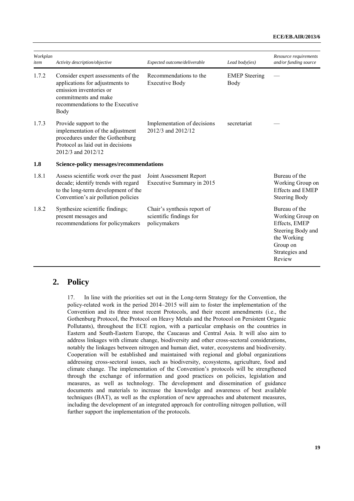| Workplan<br>item | Activity description/objective                                                                                                                                       | Expected outcome/deliverable                                           | Lead body(ies)               | Resource requirements<br>and/or funding source                                                                                 |
|------------------|----------------------------------------------------------------------------------------------------------------------------------------------------------------------|------------------------------------------------------------------------|------------------------------|--------------------------------------------------------------------------------------------------------------------------------|
| 1.7.2            | Consider expert assessments of the<br>applications for adjustments to<br>emission inventories or<br>commitments and make<br>recommendations to the Executive<br>Body | Recommendations to the<br><b>Executive Body</b>                        | <b>EMEP</b> Steering<br>Body |                                                                                                                                |
| 1.7.3            | Provide support to the<br>implementation of the adjustment<br>procedures under the Gothenburg<br>Protocol as laid out in decisions<br>2012/3 and 2012/12             | Implementation of decisions<br>2012/3 and 2012/12                      | secretariat                  |                                                                                                                                |
| 1.8              | <b>Science-policy messages/recommendations</b>                                                                                                                       |                                                                        |                              |                                                                                                                                |
| 1.8.1            | Assess scientific work over the past<br>decade; identify trends with regard<br>to the long-term development of the<br>Convention's air pollution policies            | Joint Assessment Report<br>Executive Summary in 2015                   |                              | Bureau of the<br>Working Group on<br><b>Effects and EMEP</b><br><b>Steering Body</b>                                           |
| 1.8.2            | Synthesize scientific findings;<br>present messages and<br>recommendations for policymakers                                                                          | Chair's synthesis report of<br>scientific findings for<br>policymakers |                              | Bureau of the<br>Working Group on<br>Effects, EMEP<br>Steering Body and<br>the Working<br>Group on<br>Strategies and<br>Review |

## **2. Policy**

17. In line with the priorities set out in the Long-term Strategy for the Convention, the policy-related work in the period 2014–2015 will aim to foster the implementation of the Convention and its three most recent Protocols, and their recent amendments (i.e., the Gothenburg Protocol, the Protocol on Heavy Metals and the Protocol on Persistent Organic Pollutants), throughout the ECE region, with a particular emphasis on the countries in Eastern and South-Eastern Europe, the Caucasus and Central Asia. It will also aim to address linkages with climate change, biodiversity and other cross-sectoral considerations, notably the linkages between nitrogen and human diet, water, ecosystems and biodiversity. Cooperation will be established and maintained with regional and global organizations addressing cross-sectoral issues, such as biodiversity, ecosystems, agriculture, food and climate change. The implementation of the Convention's protocols will be strengthened through the exchange of information and good practices on policies, legislation and measures, as well as technology. The development and dissemination of guidance documents and materials to increase the knowledge and awareness of best available techniques (BAT), as well as the exploration of new approaches and abatement measures, including the development of an integrated approach for controlling nitrogen pollution, will further support the implementation of the protocols.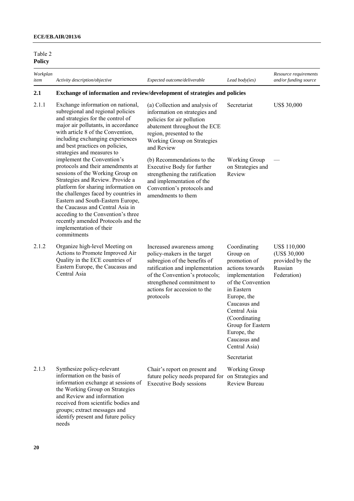| Table 2<br><b>Policy</b> |                                                                                                                                                                                                                                                                                                                                                                                                                       |                                                                                                                                                                                                                                          |                                                                                                                                                                                                                                                       |                                                                            |
|--------------------------|-----------------------------------------------------------------------------------------------------------------------------------------------------------------------------------------------------------------------------------------------------------------------------------------------------------------------------------------------------------------------------------------------------------------------|------------------------------------------------------------------------------------------------------------------------------------------------------------------------------------------------------------------------------------------|-------------------------------------------------------------------------------------------------------------------------------------------------------------------------------------------------------------------------------------------------------|----------------------------------------------------------------------------|
| Workplan<br>item         | Activity description/objective                                                                                                                                                                                                                                                                                                                                                                                        | Expected outcome/deliverable                                                                                                                                                                                                             | Lead body(ies)                                                                                                                                                                                                                                        | Resource requirements<br>and/or funding source                             |
| 2.1                      | Exchange of information and review/development of strategies and policies                                                                                                                                                                                                                                                                                                                                             |                                                                                                                                                                                                                                          |                                                                                                                                                                                                                                                       |                                                                            |
| 2.1.1                    | Exchange information on national,<br>subregional and regional policies<br>and strategies for the control of<br>major air pollutants, in accordance<br>with article 8 of the Convention,<br>including exchanging experiences<br>and best practices on policies,<br>strategies and measures to                                                                                                                          | (a) Collection and analysis of<br>information on strategies and<br>policies for air pollution<br>abatement throughout the ECE<br>region, presented to the<br>Working Group on Strategies<br>and Review                                   | Secretariat                                                                                                                                                                                                                                           | <b>US\$ 30,000</b>                                                         |
|                          | implement the Convention's<br>protocols and their amendments at<br>sessions of the Working Group on<br>Strategies and Review. Provide a<br>platform for sharing information on<br>the challenges faced by countries in<br>Eastern and South-Eastern Europe,<br>the Caucasus and Central Asia in<br>acceding to the Convention's three<br>recently amended Protocols and the<br>implementation of their<br>commitments | (b) Recommendations to the<br>Executive Body for further<br>strengthening the ratification<br>and implementation of the<br>Convention's protocols and<br>amendments to them                                                              | <b>Working Group</b><br>on Strategies and<br>Review                                                                                                                                                                                                   |                                                                            |
| 2.1.2                    | Organize high-level Meeting on<br>Actions to Promote Improved Air<br>Quality in the ECE countries of<br>Eastern Europe, the Caucasus and<br>Central Asia                                                                                                                                                                                                                                                              | Increased awareness among<br>policy-makers in the target<br>subregion of the benefits of<br>ratification and implementation<br>of the Convention's protocols;<br>strengthened commitment to<br>actions for accession to the<br>protocols | Coordinating<br>Group on<br>promotion of<br>actions towards<br>implementation<br>of the Convention<br>in Eastern<br>Europe, the<br>Caucasus and<br>Central Asia<br>(Coordinating<br>Group for Eastern<br>Europe, the<br>Caucasus and<br>Central Asia) | US\$ 110,000<br>(US\$ 30,000)<br>provided by the<br>Russian<br>Federation) |
|                          |                                                                                                                                                                                                                                                                                                                                                                                                                       |                                                                                                                                                                                                                                          | Secretariat                                                                                                                                                                                                                                           |                                                                            |
| 2.1.3                    | Synthesize policy-relevant<br>information on the basis of<br>information exchange at sessions of<br>the Working Group on Strategies<br>and Review and information<br>received from scientific bodies and<br>groups; extract messages and<br>identify present and future policy<br>needs                                                                                                                               | Chair's report on present and<br>future policy needs prepared for<br><b>Executive Body sessions</b>                                                                                                                                      | <b>Working Group</b><br>on Strategies and<br><b>Review Bureau</b>                                                                                                                                                                                     |                                                                            |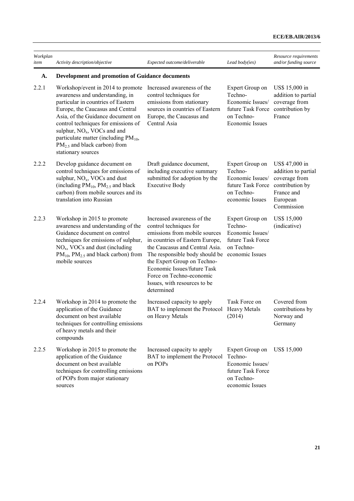| Workplan<br>item | Activity description/objective                                                                                                                                                                                                                                                                                                                                             | Expected outcome/deliverable                                                                                                                                                                                                                                                                                                         | Lead body(ies)                                                                                       | Resource requirements<br>and/or funding source                                                                    |
|------------------|----------------------------------------------------------------------------------------------------------------------------------------------------------------------------------------------------------------------------------------------------------------------------------------------------------------------------------------------------------------------------|--------------------------------------------------------------------------------------------------------------------------------------------------------------------------------------------------------------------------------------------------------------------------------------------------------------------------------------|------------------------------------------------------------------------------------------------------|-------------------------------------------------------------------------------------------------------------------|
| A.               | Development and promotion of Guidance documents                                                                                                                                                                                                                                                                                                                            |                                                                                                                                                                                                                                                                                                                                      |                                                                                                      |                                                                                                                   |
| 2.2.1            | Workshop/event in 2014 to promote<br>awareness and understanding, in<br>particular in countries of Eastern<br>Europe, the Caucasus and Central<br>Asia, of the Guidance document on<br>control techniques for emissions of<br>sulphur, $NOx$ , VOCs and and<br>particulate matter (including PM <sub>10</sub> ,<br>$PM_{2.5}$ and black carbon) from<br>stationary sources | Increased awareness of the<br>control techniques for<br>emissions from stationary<br>sources in countries of Eastern<br>Europe, the Caucasus and<br>Central Asia                                                                                                                                                                     | Expert Group on<br>Techno-<br>Economic Issues/<br>future Task Force<br>on Techno-<br>Economic Issues | US\$ 15,000 in<br>addition to partial<br>coverage from<br>contribution by<br>France                               |
| 2.2.2            | Develop guidance document on<br>control techniques for emissions of<br>sulphur, NO <sub>x</sub> , VOCs and dust<br>(including $PM_{10}$ , $PM_{2.5}$ and black<br>carbon) from mobile sources and its<br>translation into Russian                                                                                                                                          | Draft guidance document,<br>including executive summary<br>submitted for adoption by the<br><b>Executive Body</b>                                                                                                                                                                                                                    | Expert Group on<br>Techno-<br>Economic Issues/<br>future Task Force<br>on Techno-<br>economic Issues | US\$ 47,000 in<br>addition to partial<br>coverage from<br>contribution by<br>France and<br>European<br>Commission |
| 2.2.3            | Workshop in 2015 to promote<br>awareness and understanding of the<br>Guidance document on control<br>techniques for emissions of sulphur,<br>$NOx$ , VOCs and dust (including<br>$PM_{10}$ , $PM_{2.5}$ and black carbon) from<br>mobile sources                                                                                                                           | Increased awareness of the<br>control techniques for<br>emissions from mobile sources<br>in countries of Eastern Europe,<br>the Caucasus and Central Asia.<br>The responsible body should be<br>the Expert Group on Techno-<br>Economic Issues/future Task<br>Force on Techno-economic<br>Issues, with resources to be<br>determined | Expert Group on<br>Techno-<br>Economic Issues/<br>future Task Force<br>on Techno-<br>economic Issues | US\$ 15,000<br>(indicative)                                                                                       |
| 2.2.4            | Workshop in 2014 to promote the<br>application of the Guidance<br>document on best available<br>techniques for controlling emissions<br>of heavy metals and their<br>compounds                                                                                                                                                                                             | Increased capacity to apply<br>BAT to implement the Protocol<br>on Heavy Metals                                                                                                                                                                                                                                                      | Task Force on<br><b>Heavy Metals</b><br>(2014)                                                       | Covered from<br>contributions by<br>Norway and<br>Germany                                                         |
| 2.2.5            | Workshop in 2015 to promote the<br>application of the Guidance<br>document on best available<br>techniques for controlling emissions<br>of POPs from major stationary<br>sources                                                                                                                                                                                           | Increased capacity to apply<br>BAT to implement the Protocol<br>on POPs                                                                                                                                                                                                                                                              | Expert Group on<br>Techno-<br>Economic Issues/<br>future Task Force<br>on Techno-<br>economic Issues | <b>US\$ 15,000</b>                                                                                                |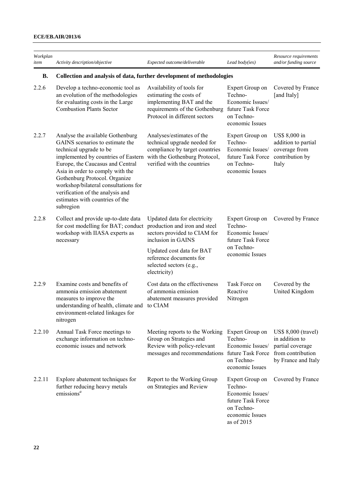| Workplan<br>item | Activity description/objective                                                                                                                                                                                                                                                                                                                                                                           | Expected outcome/deliverable                                                                                                                                                                                           | Lead body(ies)                                                                                                     | Resource requirements<br>and/or funding source                                                        |
|------------------|----------------------------------------------------------------------------------------------------------------------------------------------------------------------------------------------------------------------------------------------------------------------------------------------------------------------------------------------------------------------------------------------------------|------------------------------------------------------------------------------------------------------------------------------------------------------------------------------------------------------------------------|--------------------------------------------------------------------------------------------------------------------|-------------------------------------------------------------------------------------------------------|
| <b>B.</b>        | Collection and analysis of data, further development of methodologies                                                                                                                                                                                                                                                                                                                                    |                                                                                                                                                                                                                        |                                                                                                                    |                                                                                                       |
| 2.2.6            | Develop a techno-economic tool as<br>an evolution of the methodologies<br>for evaluating costs in the Large<br><b>Combustion Plants Sector</b>                                                                                                                                                                                                                                                           | Availability of tools for<br>estimating the costs of<br>implementing BAT and the<br>requirements of the Gothenburg<br>Protocol in different sectors                                                                    | Expert Group on<br>Techno-<br>Economic Issues/<br>future Task Force<br>on Techno-<br>economic Issues               | Covered by France<br>[and Italy]                                                                      |
| 2.2.7            | Analyse the available Gothenburg<br>GAINS scenarios to estimate the<br>technical upgrade to be<br>implemented by countries of Eastern with the Gothenburg Protocol,<br>Europe, the Caucasus and Central<br>Asia in order to comply with the<br>Gothenburg Protocol. Organize<br>workshop/bilateral consultations for<br>verification of the analysis and<br>estimates with countries of the<br>subregion | Analyses/estimates of the<br>technical upgrade needed for<br>compliance by target countries<br>verified with the countries                                                                                             | Expert Group on<br>Techno-<br>Economic Issues/<br>future Task Force<br>on Techno-<br>economic Issues               | US\$ 8,000 in<br>addition to partial<br>coverage from<br>contribution by<br>Italy                     |
| 2.2.8            | Collect and provide up-to-date data<br>for cost modelling for BAT; conduct<br>workshop with IIASA experts as<br>necessary                                                                                                                                                                                                                                                                                | Updated data for electricity<br>production and iron and steel<br>sectors provided to CIAM for<br>inclusion in GAINS<br>Updated cost data for BAT<br>reference documents for<br>selected sectors (e.g.,<br>electricity) | Expert Group on<br>Techno-<br>Economic Issues/<br>future Task Force<br>on Techno-<br>economic Issues               | Covered by France                                                                                     |
| 2.2.9            | Examine costs and benefits of<br>ammonia emission abatement<br>measures to improve the<br>understanding of health, climate and<br>environment-related linkages for<br>nitrogen                                                                                                                                                                                                                           | Cost data on the effectiveness<br>of ammonia emission<br>abatement measures provided<br>to CIAM                                                                                                                        | Task Force on<br>Reactive<br>Nitrogen                                                                              | Covered by the<br>United Kingdom                                                                      |
| 2.2.10           | Annual Task Force meetings to<br>exchange information on techno-<br>economic issues and network                                                                                                                                                                                                                                                                                                          | Meeting reports to the Working<br>Group on Strategies and<br>Review with policy-relevant<br>messages and recommendations                                                                                               | Expert Group on<br>Techno-<br>Economic Issues/<br>future Task Force<br>on Techno-<br>economic Issues               | US\$ 8,000 (travel)<br>in addition to<br>partial coverage<br>from contribution<br>by France and Italy |
| 2.2.11           | Explore abatement techniques for<br>further reducing heavy metals<br>emissions <sup>a</sup>                                                                                                                                                                                                                                                                                                              | Report to the Working Group<br>on Strategies and Review                                                                                                                                                                | Expert Group on<br>Techno-<br>Economic Issues/<br>future Task Force<br>on Techno-<br>economic Issues<br>as of 2015 | Covered by France                                                                                     |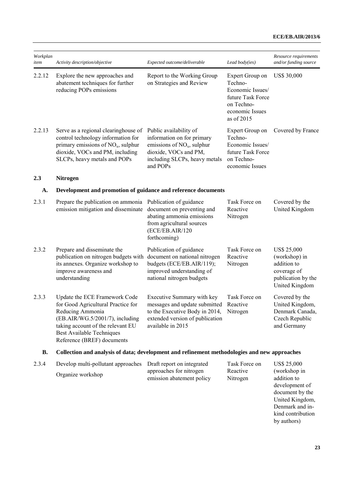| Workplan<br>item | Activity description/objective                                                                                                                                                                                                    | Expected outcome/deliverable                                                                                                                               | Lead body(ies)                                                                                                     | Resource requirements<br>and/or funding source                                                     |
|------------------|-----------------------------------------------------------------------------------------------------------------------------------------------------------------------------------------------------------------------------------|------------------------------------------------------------------------------------------------------------------------------------------------------------|--------------------------------------------------------------------------------------------------------------------|----------------------------------------------------------------------------------------------------|
| 2.2.12           | Explore the new approaches and<br>abatement techniques for further<br>reducing POPs emissions                                                                                                                                     | Report to the Working Group<br>on Strategies and Review                                                                                                    | Expert Group on<br>Techno-<br>Economic Issues/<br>future Task Force<br>on Techno-<br>economic Issues<br>as of 2015 | <b>US\$ 30,000</b>                                                                                 |
| 2.2.13           | Serve as a regional clearinghouse of<br>control technology information for<br>primary emissions of $NOx$ , sulphur<br>dioxide, VOCs and PM, including<br>SLCPs, heavy metals and POPs                                             | Public availability of<br>information on for primary<br>emissions of $NOx$ , sulphur<br>dioxide, VOCs and PM,<br>including SLCPs, heavy metals<br>and POPs | Expert Group on<br>Techno-<br>Economic Issues/<br>future Task Force<br>on Techno-<br>economic Issues               | Covered by France                                                                                  |
| 2.3              | <b>Nitrogen</b>                                                                                                                                                                                                                   |                                                                                                                                                            |                                                                                                                    |                                                                                                    |
| A.               | Development and promotion of guidance and reference documents                                                                                                                                                                     |                                                                                                                                                            |                                                                                                                    |                                                                                                    |
| 2.3.1            | Prepare the publication on ammonia<br>emission mitigation and disseminate                                                                                                                                                         | Publication of guidance<br>document on preventing and<br>abating ammonia emissions<br>from agricultural sources<br>(ECE/EB.AIR/120<br>forthcoming)         | Task Force on<br>Reactive<br>Nitrogen                                                                              | Covered by the<br>United Kingdom                                                                   |
| 2.3.2            | Prepare and disseminate the<br>publication on nitrogen budgets with<br>its annexes. Organize workshop to<br>improve awareness and<br>understanding                                                                                | Publication of guidance<br>document on national nitrogen<br>budgets (ECE/EB.AIR/119);<br>improved understanding of<br>national nitrogen budgets            | Task Force on<br>Reactive<br>Nitrogen                                                                              | US\$ 25,000<br>(workshop) in<br>addition to<br>coverage of<br>publication by the<br>United Kingdom |
| 2.3.3            | Update the ECE Framework Code<br>for Good Agricultural Practice for<br>Reducing Ammonia<br>(EB.AIR/WG.5/2001/7), including<br>taking account of the relevant EU<br><b>Best Available Techniques</b><br>Reference (BREF) documents | Executive Summary with key<br>messages and update submitted<br>to the Executive Body in 2014,<br>extended version of publication<br>available in 2015      | Task Force on<br>Reactive<br>Nitrogen                                                                              | Covered by the<br>United Kingdom,<br>Denmark Canada,<br>Czech Republic<br>and Germany              |
| <b>B.</b>        | Collection and analysis of data; development and refinement methodologies and new approaches                                                                                                                                      |                                                                                                                                                            |                                                                                                                    |                                                                                                    |
| 2.3.4            | Develop multi-pollutant approaches<br>Organize workshop                                                                                                                                                                           | Draft report on integrated<br>approaches for nitrogen<br>mission shotomont notion                                                                          | Task Force on<br>Reactive<br>N <sub>itrocon</sub>                                                                  | US\$ 25,000<br>(workshop in<br>oddition to                                                         |

emission abatement policy

Nitrogen

(workshop in addition to development of document by the United Kingdom, Denmark and inkind contribution by authors)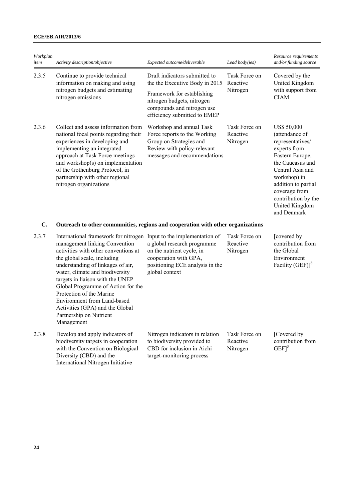| Workplan<br>item | Activity description/objective                                                                                                                                                                                                                                                                                                                                                                                                                                       | Expected outcome/deliverable                                                                                                                                                              | Lead body(ies)                        | Resource requirements<br>and/or funding source                                                                                                                                                                                                      |
|------------------|----------------------------------------------------------------------------------------------------------------------------------------------------------------------------------------------------------------------------------------------------------------------------------------------------------------------------------------------------------------------------------------------------------------------------------------------------------------------|-------------------------------------------------------------------------------------------------------------------------------------------------------------------------------------------|---------------------------------------|-----------------------------------------------------------------------------------------------------------------------------------------------------------------------------------------------------------------------------------------------------|
| 2.3.5            | Continue to provide technical<br>information on making and using<br>nitrogen budgets and estimating<br>nitrogen emissions                                                                                                                                                                                                                                                                                                                                            | Draft indicators submitted to<br>the the Executive Body in 2015<br>Framework for establishing<br>nitrogen budgets, nitrogen<br>compounds and nitrogen use<br>efficiency submitted to EMEP | Task Force on<br>Reactive<br>Nitrogen | Covered by the<br>United Kingdom<br>with support from<br><b>CIAM</b>                                                                                                                                                                                |
| 2.3.6            | Collect and assess information from<br>national focal points regarding their<br>experiences in developing and<br>implementing an integrated<br>approach at Task Force meetings<br>and workshop(s) on implementation<br>of the Gothenburg Protocol, in<br>partnership with other regional<br>nitrogen organizations                                                                                                                                                   | Workshop and annual Task<br>Force reports to the Working<br>Group on Strategies and<br>Review with policy-relevant<br>messages and recommendations                                        | Task Force on<br>Reactive<br>Nitrogen | <b>US\$ 50,000</b><br>(attendance of<br>representatives/<br>experts from<br>Eastern Europe,<br>the Caucasus and<br>Central Asia and<br>workshop) in<br>addition to partial<br>coverage from<br>contribution by the<br>United Kingdom<br>and Denmark |
| C.               | Outreach to other communities, regions and cooperation with other organizations                                                                                                                                                                                                                                                                                                                                                                                      |                                                                                                                                                                                           |                                       |                                                                                                                                                                                                                                                     |
| 2.3.7            | International framework for nitrogen Input to the implementation of<br>management linking Convention<br>activities with other conventions at<br>the global scale, including<br>understanding of linkages of air,<br>water, climate and biodiversity<br>targets in liaison with the UNEP<br>Global Programme of Action for the<br>Protection of the Marine<br>Environment from Land-based<br>Activities (GPA) and the Global<br>Partnership on Nutrient<br>Management | a global research programme<br>on the nutrient cycle, in<br>cooperation with GPA,<br>positioning ECE analysis in the<br>global context                                                    | Task Force on<br>Reactive<br>Nitrogen | [covered by<br>contribution from<br>the Global<br>Environment<br>Facility $(GEF)$ <sup>b</sup>                                                                                                                                                      |
| 2.3.8            | Develop and apply indicators of<br>biodiversity targets in cooperation<br>with the Convention on Biological<br>Diversity (CBD) and the<br>International Nitrogen Initiative                                                                                                                                                                                                                                                                                          | Nitrogen indicators in relation<br>to biodiversity provided to<br>CBD for inclusion in Aichi<br>target-monitoring process                                                                 | Task Force on<br>Reactive<br>Nitrogen | [Covered by]<br>contribution from<br>$GEF$ <sup>3</sup>                                                                                                                                                                                             |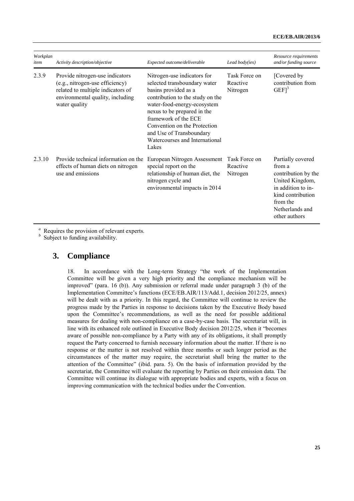| Workplan<br>item | Activity description/objective                                                                                                                               | Expected outcome/deliverable                                                                                                                                                                                                                                                                                         | Lead body(ies)                        | Resource requirements<br>and/or funding source                                                                                                                   |
|------------------|--------------------------------------------------------------------------------------------------------------------------------------------------------------|----------------------------------------------------------------------------------------------------------------------------------------------------------------------------------------------------------------------------------------------------------------------------------------------------------------------|---------------------------------------|------------------------------------------------------------------------------------------------------------------------------------------------------------------|
| 2.3.9            | Provide nitrogen-use indicators<br>(e.g., nitrogen-use efficiency)<br>related to multiple indicators of<br>environmental quality, including<br>water quality | Nitrogen-use indicators for<br>selected transboundary water<br>basins provided as a<br>contribution to the study on the<br>water-food-energy-ecosystem<br>nexus to be prepared in the<br>framework of the ECE<br>Convention on the Protection<br>and Use of Transboundary<br>Watercourses and International<br>Lakes | Task Force on<br>Reactive<br>Nitrogen | [Covered by<br>contribution from<br>$GEF$ <sup>3</sup>                                                                                                           |
| 2.3.10           | Provide technical information on the<br>effects of human diets on nitrogen<br>use and emissions                                                              | European Nitrogen Assessment<br>special report on the<br>relationship of human diet, the<br>nitrogen cycle and<br>environmental impacts in 2014                                                                                                                                                                      | Task Force on<br>Reactive<br>Nitrogen | Partially covered<br>from a<br>contribution by the<br>United Kingdom,<br>in addition to in-<br>kind contribution<br>from the<br>Netherlands and<br>other authors |

<sup>a</sup> Requires the provision of relevant experts.

<sup>*b*</sup> Subject to funding availability.

## **3. Compliance**

18. In accordance with the Long-term Strategy "the work of the Implementation Committee will be given a very high priority and the compliance mechanism will be improved" (para. 16 (b)). Any submission or referral made under paragraph 3 (b) of the Implementation Committee's functions (ECE/EB.AIR/113/Add.1, decision 2012/25, annex) will be dealt with as a priority. In this regard, the Committee will continue to review the progress made by the Parties in response to decisions taken by the Executive Body based upon the Committee's recommendations, as well as the need for possible additional measures for dealing with non-compliance on a case-by-case basis. The secretariat will, in line with its enhanced role outlined in Executive Body decision 2012/25, when it "becomes aware of possible non-compliance by a Party with any of its obligations, it shall promptly request the Party concerned to furnish necessary information about the matter. If there is no response or the matter is not resolved within three months or such longer period as the circumstances of the matter may require, the secretariat shall bring the matter to the attention of the Committee" (ibid. para. 5). On the basis of information provided by the secretariat, the Committee will evaluate the reporting by Parties on their emission data. The Committee will continue its dialogue with appropriate bodies and experts, with a focus on improving communication with the technical bodies under the Convention.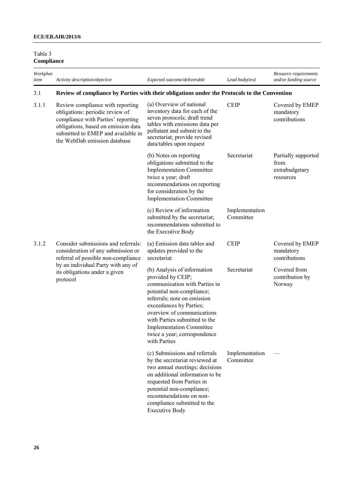#### Table 3 **Compliance**

| Workplan<br>item | Activity description/objective                                                                                                                                                                                         | Expected outcome/deliverable                                                                                                                                                                                                                                                                                               | Lead body(ies)              | Resource requirements<br>and/or funding source             |
|------------------|------------------------------------------------------------------------------------------------------------------------------------------------------------------------------------------------------------------------|----------------------------------------------------------------------------------------------------------------------------------------------------------------------------------------------------------------------------------------------------------------------------------------------------------------------------|-----------------------------|------------------------------------------------------------|
| 3.1              | Review of compliance by Parties with their obligations under the Protocols to the Convention                                                                                                                           |                                                                                                                                                                                                                                                                                                                            |                             |                                                            |
| 3.1.1            | Review compliance with reporting<br>obligations: periodic review of<br>compliance with Parties' reporting<br>obligations, based on emission data<br>submitted to EMEP and available in<br>the WebDab emission database | (a) Overview of national<br>inventory data for each of the<br>seven protocols; draft trend<br>tables with emissions data per<br>pollutant and submit to the<br>secretariat; provide revised<br>data/tables upon request                                                                                                    | <b>CEIP</b>                 | Covered by EMEP<br>mandatory<br>contributions              |
|                  |                                                                                                                                                                                                                        | (b) Notes on reporting<br>obligations submitted to the<br><b>Implementation Committee</b><br>twice a year; draft<br>recommendations on reporting<br>for consideration by the<br><b>Implementation Committee</b>                                                                                                            | Secretariat                 | Partially supported<br>from<br>extrabudgetary<br>resources |
|                  |                                                                                                                                                                                                                        | (c) Review of information<br>submitted by the secretariat;<br>recommendations submitted to<br>the Executive Body                                                                                                                                                                                                           | Implementation<br>Committee |                                                            |
| 3.1.2            | Consider submissions and referrals:<br>consideration of any submission or<br>referral of possible non-compliance                                                                                                       | (a) Emission data tables and<br>updates provided to the<br>secretariat                                                                                                                                                                                                                                                     | <b>CEIP</b>                 | Covered by EMEP<br>mandatory<br>contributions              |
|                  | by an individual Party with any of<br>its obligations under a given<br>protocol                                                                                                                                        | (b) Analysis of information<br>provided by CEIP;<br>communication with Parties in<br>potential non-compliance;<br>referrals; note on emission<br>exceedances by Parties;<br>overview of communications<br>with Parties submitted to the<br><b>Implementation Committee</b><br>twice a year; correspondence<br>with Parties | Secretariat                 | Covered from<br>contribution by<br>Norway                  |
|                  |                                                                                                                                                                                                                        | (c) Submissions and referrals<br>by the secretariat reviewed at<br>two annual meetings; decisions<br>on additional information to be<br>requested from Parties in<br>potential non-compliance;<br>recommendations on non-<br>compliance submitted to the<br><b>Executive Body</b>                                          | Implementation<br>Committee |                                                            |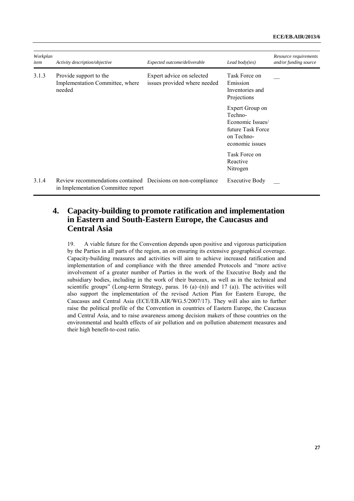| Workplan<br>item | Activity description/objective                                                                     | Expected outcome/deliverable                              | Lead body(ies)                                                                                       | Resource requirements<br>and/or funding source |
|------------------|----------------------------------------------------------------------------------------------------|-----------------------------------------------------------|------------------------------------------------------------------------------------------------------|------------------------------------------------|
| 3.1.3            | Provide support to the<br>Implementation Committee, where<br>needed                                | Expert advice on selected<br>issues provided where needed | Task Force on<br>Emission<br>Inventories and<br>Projections                                          |                                                |
|                  |                                                                                                    |                                                           | Expert Group on<br>Techno-<br>Economic Issues/<br>future Task Force<br>on Techno-<br>economic issues |                                                |
|                  |                                                                                                    |                                                           | Task Force on<br>Reactive<br>Nitrogen                                                                |                                                |
| 3.1.4            | Review recommendations contained Decisions on non-compliance<br>in Implementation Committee report |                                                           | <b>Executive Body</b>                                                                                |                                                |

## **4. Capacity-building to promote ratification and implementation in Eastern and South-Eastern Europe, the Caucasus and Central Asia**

19. A viable future for the Convention depends upon positive and vigorous participation by the Parties in all parts of the region, an on ensuring its extensive geographical coverage. Capacity-building measures and activities will aim to achieve increased ratification and implementation of and compliance with the three amended Protocols and "more active involvement of a greater number of Parties in the work of the Executive Body and the subsidiary bodies, including in the work of their bureaux, as well as in the technical and scientific groups" (Long-term Strategy, paras. 16  $(a)$ – $(n)$ ) and 17  $(a)$ ). The activities will also support the implementation of the revised Action Plan for Eastern Europe, the Caucasus and Central Asia (ECE/EB.AIR/WG.5/2007/17). They will also aim to further raise the political profile of the Convention in countries of Eastern Europe, the Caucasus and Central Asia, and to raise awareness among decision makers of those countries on the environmental and health effects of air pollution and on pollution abatement measures and their high benefit-to-cost ratio.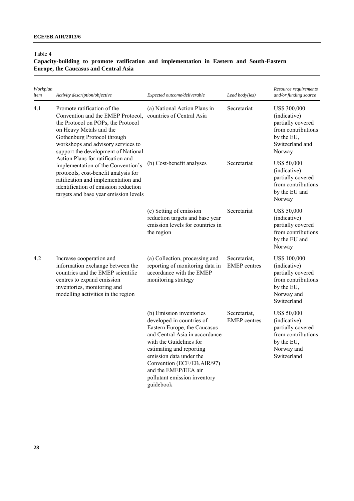#### Table 4

#### **Capacity-building to promote ratification and implementation in Eastern and South-Eastern Europe, the Caucasus and Central Asia**

| Workplan<br>item | Activity description/objective                                                                                                                                                                                                                                                                                                                                                                                                                                                           | Expected outcome/deliverable                                                                                                                                                                                                                                                                                 | Lead body(ies)                      | Resource requirements<br>and/or funding source                                                                            |
|------------------|------------------------------------------------------------------------------------------------------------------------------------------------------------------------------------------------------------------------------------------------------------------------------------------------------------------------------------------------------------------------------------------------------------------------------------------------------------------------------------------|--------------------------------------------------------------------------------------------------------------------------------------------------------------------------------------------------------------------------------------------------------------------------------------------------------------|-------------------------------------|---------------------------------------------------------------------------------------------------------------------------|
| 4.1              | Promote ratification of the<br>Convention and the EMEP Protocol,<br>the Protocol on POPs, the Protocol<br>on Heavy Metals and the<br>Gothenburg Protocol through<br>workshops and advisory services to<br>support the development of National<br>Action Plans for ratification and<br>implementation of the Convention's<br>protocols, cost-benefit analysis for<br>ratification and implementation and<br>identification of emission reduction<br>targets and base year emission levels | (a) National Action Plans in<br>countries of Central Asia                                                                                                                                                                                                                                                    | Secretariat                         | <b>US\$ 300,000</b><br>(indicative)<br>partially covered<br>from contributions<br>by the EU,<br>Switzerland and<br>Norway |
|                  |                                                                                                                                                                                                                                                                                                                                                                                                                                                                                          | (b) Cost-benefit analyses                                                                                                                                                                                                                                                                                    | Secretariat                         | <b>US\$ 50,000</b><br>(indicative)<br>partially covered<br>from contributions<br>by the EU and<br>Norway                  |
|                  |                                                                                                                                                                                                                                                                                                                                                                                                                                                                                          | (c) Setting of emission<br>reduction targets and base year<br>emission levels for countries in<br>the region                                                                                                                                                                                                 | Secretariat                         | <b>US\$ 50,000</b><br>(indicative)<br>partially covered<br>from contributions<br>by the EU and<br>Norway                  |
| 4.2              | Increase cooperation and<br>information exchange between the<br>countries and the EMEP scientific<br>centres to expand emission<br>inventories, monitoring and<br>modelling activities in the region                                                                                                                                                                                                                                                                                     | (a) Collection, processing and<br>reporting of monitoring data in<br>accordance with the EMEP<br>monitoring strategy                                                                                                                                                                                         | Secretariat.<br><b>EMEP</b> centres | <b>US\$ 100,000</b><br>(indicative)<br>partially covered<br>from contributions<br>by the EU,<br>Norway and<br>Switzerland |
|                  |                                                                                                                                                                                                                                                                                                                                                                                                                                                                                          | (b) Emission inventories<br>developed in countries of<br>Eastern Europe, the Caucasus<br>and Central Asia in accordance<br>with the Guidelines for<br>estimating and reporting<br>emission data under the<br>Convention (ECE/EB.AIR/97)<br>and the EMEP/EEA air<br>pollutant emission inventory<br>guidebook | Secretariat,<br><b>EMEP</b> centres | <b>US\$ 50,000</b><br>(indicative)<br>partially covered<br>from contributions<br>by the EU,<br>Norway and<br>Switzerland  |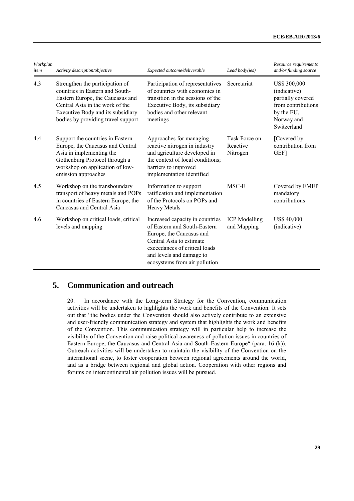| Workplan<br>item | Activity description/objective                                                                                                                                                                                       | Expected outcome/deliverable                                                                                                                                                                                          | Lead body(ies)                        | Resource requirements<br>and/or funding source                                                                     |
|------------------|----------------------------------------------------------------------------------------------------------------------------------------------------------------------------------------------------------------------|-----------------------------------------------------------------------------------------------------------------------------------------------------------------------------------------------------------------------|---------------------------------------|--------------------------------------------------------------------------------------------------------------------|
| 4.3              | Strengthen the participation of<br>countries in Eastern and South-<br>Eastern Europe, the Caucasus and<br>Central Asia in the work of the<br>Executive Body and its subsidiary<br>bodies by providing travel support | Participation of representatives<br>of countries with economies in<br>transition in the sessions of the<br>Executive Body, its subsidiary<br>bodies and other relevant<br>meetings                                    | Secretariat                           | US\$ 300,000<br>(indicative)<br>partially covered<br>from contributions<br>by the EU,<br>Norway and<br>Switzerland |
| 4.4              | Support the countries in Eastern<br>Europe, the Caucasus and Central<br>Asia in implementing the<br>Gothenburg Protocol through a<br>workshop on application of low-<br>emission approaches                          | Approaches for managing<br>reactive nitrogen in industry<br>and agriculture developed in<br>the context of local conditions;<br>barriers to improved<br>implementation identified                                     | Task Force on<br>Reactive<br>Nitrogen | [Covered by]<br>contribution from<br>GEF]                                                                          |
| 4.5              | Workshop on the transboundary<br>transport of heavy metals and POPs<br>in countries of Eastern Europe, the<br>Caucasus and Central Asia                                                                              | Information to support<br>ratification and implementation<br>of the Protocols on POPs and<br><b>Heavy Metals</b>                                                                                                      | MSC-E                                 | Covered by EMEP<br>mandatory<br>contributions                                                                      |
| 4.6              | Workshop on critical loads, critical<br>levels and mapping                                                                                                                                                           | Increased capacity in countries<br>of Eastern and South-Eastern<br>Europe, the Caucasus and<br>Central Asia to estimate<br>exceedances of critical loads<br>and levels and damage to<br>ecosystems from air pollution | <b>ICP</b> Modelling<br>and Mapping   | <b>US\$ 40,000</b><br>(indicative)                                                                                 |

# **5. Communication and outreach**

20. In accordance with the Long-term Strategy for the Convention, communication activities will be undertaken to highlights the work and benefits of the Convention. It sets out that "the bodies under the Convention should also actively contribute to an extensive and user-friendly communication strategy and system that highlights the work and benefits of the Convention. This communication strategy will in particular help to increase the visibility of the Convention and raise political awareness of pollution issues in countries of Eastern Europe, the Caucasus and Central Asia and South-Eastern Europe" (para. 16 (k)). Outreach activities will be undertaken to maintain the visibility of the Convention on the international scene, to foster cooperation between regional agreements around the world, and as a bridge between regional and global action. Cooperation with other regions and forums on intercontinental air pollution issues will be pursued.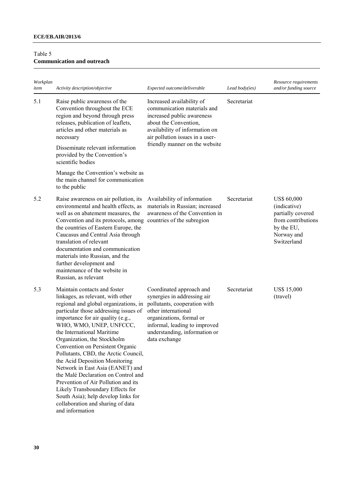#### Table 5 **Communication and outreach**

| Workplan<br>item | Activity description/objective                                                                                                                                                                                                                                                                                                                                                                                                                                                                                                                                                                                                                      | Expected outcome/deliverable                                                                                                                                                                                                  | Lead body(ies) | Resource requirements<br>and/or funding source                                                                           |
|------------------|-----------------------------------------------------------------------------------------------------------------------------------------------------------------------------------------------------------------------------------------------------------------------------------------------------------------------------------------------------------------------------------------------------------------------------------------------------------------------------------------------------------------------------------------------------------------------------------------------------------------------------------------------------|-------------------------------------------------------------------------------------------------------------------------------------------------------------------------------------------------------------------------------|----------------|--------------------------------------------------------------------------------------------------------------------------|
| 5.1              | Raise public awareness of the<br>Convention throughout the ECE<br>region and beyond through press<br>releases, publication of leaflets,<br>articles and other materials as<br>necessary<br>Disseminate relevant information<br>provided by the Convention's<br>scientific bodies                                                                                                                                                                                                                                                                                                                                                                    | Increased availability of<br>communication materials and<br>increased public awareness<br>about the Convention,<br>availability of information on<br>air pollution issues in a user-<br>friendly manner on the website        | Secretariat    |                                                                                                                          |
|                  | Manage the Convention's website as<br>the main channel for communication<br>to the public                                                                                                                                                                                                                                                                                                                                                                                                                                                                                                                                                           |                                                                                                                                                                                                                               |                |                                                                                                                          |
| 5.2              | Raise awareness on air pollution, its<br>environmental and health effects, as<br>well as on abatement measures, the<br>Convention and its protocols, among<br>the countries of Eastern Europe, the<br>Caucasus and Central Asia through<br>translation of relevant<br>documentation and communication<br>materials into Russian, and the<br>further development and<br>maintenance of the website in<br>Russian, as relevant                                                                                                                                                                                                                        | Availability of information<br>materials in Russian; increased<br>awareness of the Convention in<br>countries of the subregion                                                                                                | Secretariat    | <b>US\$ 60,000</b><br>(indicative)<br>partially covered<br>from contributions<br>by the EU,<br>Norway and<br>Switzerland |
| 5.3              | Maintain contacts and foster<br>linkages, as relevant, with other<br>regional and global organizations, in<br>particular those addressing issues of<br>importance for air quality (e.g.,<br>WHO, WMO, UNEP, UNFCCC,<br>the International Maritime<br>Organization, the Stockholm<br>Convention on Persistent Organic<br>Pollutants, CBD, the Arctic Council,<br>the Acid Deposition Monitoring<br>Network in East Asia (EANET) and<br>the Malé Declaration on Control and<br>Prevention of Air Pollution and its<br>Likely Transboundary Effects for<br>South Asia); help develop links for<br>collaboration and sharing of data<br>and information | Coordinated approach and<br>synergies in addressing air<br>pollutants, cooperation with<br>other international<br>organizations, formal or<br>informal, leading to improved<br>understanding, information or<br>data exchange | Secretariat    | <b>US\$ 15,000</b><br>(travel)                                                                                           |